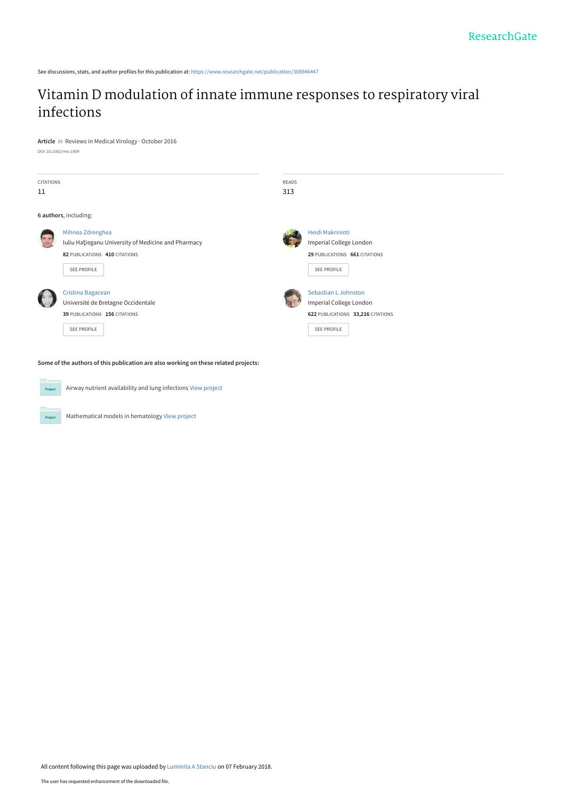See discussions, stats, and author profiles for this publication at: [https://www.researchgate.net/publication/308946447](https://www.researchgate.net/publication/308946447_Vitamin_D_modulation_of_innate_immune_responses_to_respiratory_viral_infections?enrichId=rgreq-9a947ade7d0f84b47e19480a39c33a58-XXX&enrichSource=Y292ZXJQYWdlOzMwODk0NjQ0NztBUzo1OTE0MDAxMTQ2MTAxODVAMTUxODAxMjE4Mzc3MA%3D%3D&el=1_x_2&_esc=publicationCoverPdf)

## [Vitamin D modulation of innate immune responses to respiratory viral](https://www.researchgate.net/publication/308946447_Vitamin_D_modulation_of_innate_immune_responses_to_respiratory_viral_infections?enrichId=rgreq-9a947ade7d0f84b47e19480a39c33a58-XXX&enrichSource=Y292ZXJQYWdlOzMwODk0NjQ0NztBUzo1OTE0MDAxMTQ2MTAxODVAMTUxODAxMjE4Mzc3MA%3D%3D&el=1_x_3&_esc=publicationCoverPdf) infections

**Article** in Reviews in Medical Virology · October 2016 DOI: 10.1002/rmv.1909

| <b>CITATIONS</b><br>11 |                                                                                                                         | READS<br>313 |                                                                                                     |
|------------------------|-------------------------------------------------------------------------------------------------------------------------|--------------|-----------------------------------------------------------------------------------------------------|
|                        | 6 authors, including:                                                                                                   |              |                                                                                                     |
|                        | Mihnea Zdrenghea<br>Iuliu Hatieganu University of Medicine and Pharmacy<br>82 PUBLICATIONS 410 CITATIONS<br>SEE PROFILE |              | <b>Heidi Makrinioti</b><br>Imperial College London<br>29 PUBLICATIONS 661 CITATIONS<br>SEE PROFILE  |
|                        | Cristina Bagacean<br>Université de Bretagne Occidentale<br>39 PUBLICATIONS 156 CITATIONS<br>SEE PROFILE                 |              | Sebastian L Johnston<br>Imperial College London<br>622 PUBLICATIONS 33,216 CITATIONS<br>SEE PROFILE |



Project

Airway nutrient availability and lung infections [View project](https://www.researchgate.net/project/Airway-nutrient-availability-and-lung-infections?enrichId=rgreq-9a947ade7d0f84b47e19480a39c33a58-XXX&enrichSource=Y292ZXJQYWdlOzMwODk0NjQ0NztBUzo1OTE0MDAxMTQ2MTAxODVAMTUxODAxMjE4Mzc3MA%3D%3D&el=1_x_9&_esc=publicationCoverPdf)

Mathematical models in hematology [View project](https://www.researchgate.net/project/Mathematical-models-in-hematology?enrichId=rgreq-9a947ade7d0f84b47e19480a39c33a58-XXX&enrichSource=Y292ZXJQYWdlOzMwODk0NjQ0NztBUzo1OTE0MDAxMTQ2MTAxODVAMTUxODAxMjE4Mzc3MA%3D%3D&el=1_x_9&_esc=publicationCoverPdf)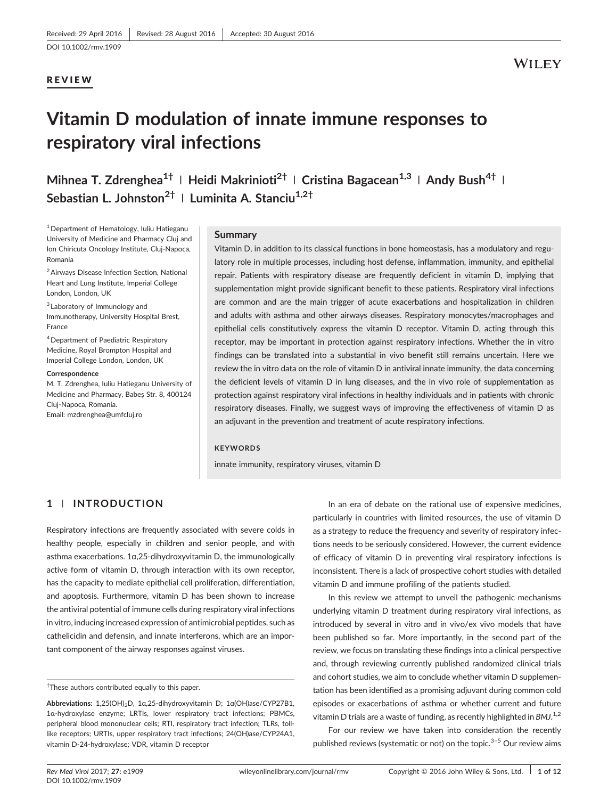## REVIEW

# Vitamin D modulation of innate immune responses to respiratory viral infections

Mihnea T. Zdrenghea<sup>1†</sup> | Heidi Makrinioti<sup>2†</sup> | Cristina Bagacean<sup>1,3</sup> | Andy Bush<sup>4†</sup> | Sebastian L. Johnston<sup>2†</sup> | Luminita A. Stanciu<sup>1,2†</sup>

 $1$  Department of Hematology, Iuliu Hatieganu University of Medicine and Pharmacy Cluj and Ion Chiricuta Oncology Institute, Cluj‐Napoca, Romania

2Airways Disease Infection Section, National Heart and Lung Institute, Imperial College London, London, UK

<sup>3</sup> Laboratory of Immunology and Immunotherapy, University Hospital Brest, France

4Department of Paediatric Respiratory Medicine, Royal Brompton Hospital and Imperial College London, London, UK

#### Correspondence

M. T. Zdrenghea, Iuliu Hatieganu University of Medicine and Pharmacy, Babeş Str. 8, 400124 Cluj‐Napoca, Romania. Email: [mzdrenghea@umfcluj.ro](mailto:mzdrenghea@umfcluj.ro)

#### **Summary**

Vitamin D, in addition to its classical functions in bone homeostasis, has a modulatory and regulatory role in multiple processes, including host defense, inflammation, immunity, and epithelial repair. Patients with respiratory disease are frequently deficient in vitamin D, implying that supplementation might provide significant benefit to these patients. Respiratory viral infections are common and are the main trigger of acute exacerbations and hospitalization in children and adults with asthma and other airways diseases. Respiratory monocytes/macrophages and epithelial cells constitutively express the vitamin D receptor. Vitamin D, acting through this receptor, may be important in protection against respiratory infections. Whether the in vitro findings can be translated into a substantial in vivo benefit still remains uncertain. Here we review the in vitro data on the role of vitamin D in antiviral innate immunity, the data concerning the deficient levels of vitamin D in lung diseases, and the in vivo role of supplementation as protection against respiratory viral infections in healthy individuals and in patients with chronic respiratory diseases. Finally, we suggest ways of improving the effectiveness of vitamin D as an adjuvant in the prevention and treatment of acute respiratory infections.

#### **KEYWORDS**

innate immunity, respiratory viruses, vitamin D

### 1 | INTRODUCTION

Respiratory infections are frequently associated with severe colds in healthy people, especially in children and senior people, and with asthma exacerbations. 1α,25‐dihydroxyvitamin D, the immunologically active form of vitamin D, through interaction with its own receptor, has the capacity to mediate epithelial cell proliferation, differentiation, and apoptosis. Furthermore, vitamin D has been shown to increase the antiviral potential of immune cells during respiratory viral infections in vitro, inducing increased expression of antimicrobial peptides, such as cathelicidin and defensin, and innate interferons, which are an important component of the airway responses against viruses.

In an era of debate on the rational use of expensive medicines, particularly in countries with limited resources, the use of vitamin D as a strategy to reduce the frequency and severity of respiratory infections needs to be seriously considered. However, the current evidence of efficacy of vitamin D in preventing viral respiratory infections is inconsistent. There is a lack of prospective cohort studies with detailed vitamin D and immune profiling of the patients studied.

In this review we attempt to unveil the pathogenic mechanisms underlying vitamin D treatment during respiratory viral infections, as introduced by several in vitro and in vivo/ex vivo models that have been published so far. More importantly, in the second part of the review, we focus on translating these findings into a clinical perspective and, through reviewing currently published randomized clinical trials and cohort studies, we aim to conclude whether vitamin D supplementation has been identified as a promising adjuvant during common cold episodes or exacerbations of asthma or whether current and future vitamin D trials are a waste of funding, as recently highlighted in BMJ. $^{1,2}$ 

For our review we have taken into consideration the recently published reviews (systematic or not) on the topic. $3-5$  Our review aims

<sup>†</sup> These authors contributed equally to this paper.

Abbreviations: 1,25(OH)<sub>2</sub>D, 1α,25-dihydroxyvitamin D; 1α(OH)ase/CYP27B1, 1α‐hydroxylase enzyme; LRTIs, lower respiratory tract infections; PBMCs, peripheral blood mononuclear cells; RTI, respiratory tract infection; TLRs, tolllike receptors; URTIs, upper respiratory tract infections; 24(OH)ase/CYP24A1, vitamin D‐24‐hydroxylase; VDR, vitamin D receptor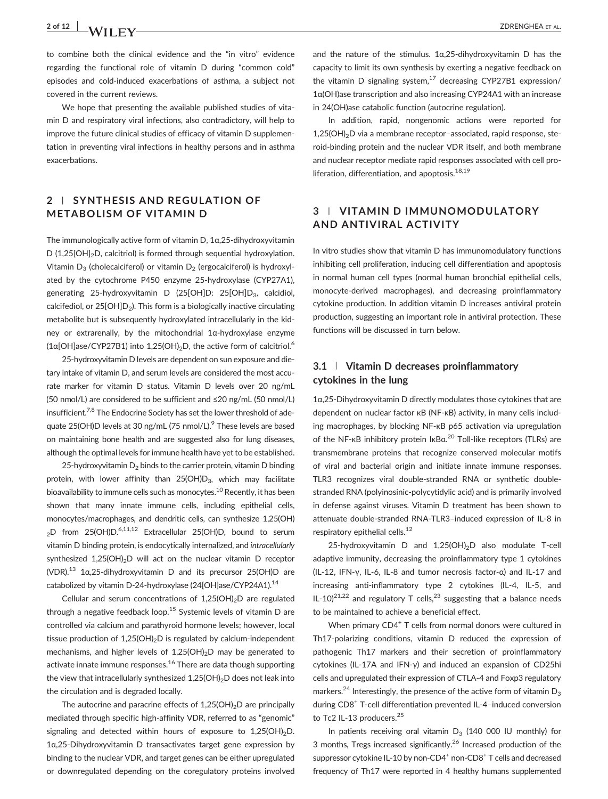# 2 of 12 X A / I I I I V CHAIRS CONTROL 2 OF 12 X A / I I I I AL.

to combine both the clinical evidence and the "in vitro" evidence regarding the functional role of vitamin D during "common cold" episodes and cold‐induced exacerbations of asthma, a subject not covered in the current reviews.

We hope that presenting the available published studies of vitamin D and respiratory viral infections, also contradictory, will help to improve the future clinical studies of efficacy of vitamin D supplementation in preventing viral infections in healthy persons and in asthma exacerbations.

## 2 | SYNTHESIS AND REGULATION OF METABOLISM OF VITAMIN D

The immunologically active form of vitamin D, 1α,25‐dihydroxyvitamin D (1,25 $[OH]_{2}$ D, calcitriol) is formed through sequential hydroxylation. Vitamin  $D_3$  (cholecalciferol) or vitamin  $D_2$  (ergocalciferol) is hydroxylated by the cytochrome P450 enzyme 25‐hydroxylase (CYP27A1), generating 25-hydroxyvitamin D (25[OH]D: 25[OH]D<sub>3</sub>, calcidiol, calcifediol, or  $25[OH]D<sub>2</sub>$ ). This form is a biologically inactive circulating metabolite but is subsequently hydroxylated intracellularly in the kidney or extrarenally, by the mitochondrial 1α‐hydroxylase enzyme  $(1a[OH]ase/CYP27B1)$  into  $1.25(OH)_2D$ , the active form of calcitriol.<sup>6</sup>

25‐hydroxyvitamin D levels are dependent on sun exposure and dietary intake of vitamin D, and serum levels are considered the most accurate marker for vitamin D status. Vitamin D levels over 20 ng/mL (50 nmol/L) are considered to be sufficient and ≤20 ng/mL (50 nmol/L) insufficient.<sup>7,8</sup> The Endocrine Society has set the lower threshold of adequate 25(OH)D levels at 30 ng/mL (75 nmol/L).<sup>9</sup> These levels are based on maintaining bone health and are suggested also for lung diseases, although the optimal levels for immune health have yet to be established.

25-hydroxyvitamin  $D_2$  binds to the carrier protein, vitamin D binding protein, with lower affinity than  $25(OH)D_3$ , which may facilitate bioavailability to immune cells such as monocytes.<sup>10</sup> Recently, it has been shown that many innate immune cells, including epithelial cells, monocytes/macrophages, and dendritic cells, can synthesize 1,25(OH) <sub>2</sub>D from 25(OH)D.<sup>6,11,12</sup> Extracellular 25(OH)D, bound to serum vitamin D binding protein, is endocytically internalized, and intracellularly synthesized  $1,25(OH)_{2}D$  will act on the nuclear vitamin D receptor (VDR).<sup>13</sup> 1 $\alpha$ , 25-dihydroxyvitamin D and its precursor 25(OH)D are catabolized by vitamin D-24-hydroxylase (24[OH]ase/CYP24A1).<sup>14</sup>

Cellular and serum concentrations of  $1,25(OH)_2D$  are regulated through a negative feedback loop.<sup>15</sup> Systemic levels of vitamin D are controlled via calcium and parathyroid hormone levels; however, local tissue production of  $1,25(OH)_2D$  is regulated by calcium-independent mechanisms, and higher levels of  $1,25(OH)_{2}D$  may be generated to activate innate immune responses.<sup>16</sup> There are data though supporting the view that intracellularly synthesized  $1,25(OH)_2D$  does not leak into the circulation and is degraded locally.

The autocrine and paracrine effects of  $1,25(OH)_2D$  are principally mediated through specific high-affinity VDR, referred to as "genomic" signaling and detected within hours of exposure to  $1,25(OH)_2D$ . 1α,25‐Dihydroxyvitamin D transactivates target gene expression by binding to the nuclear VDR, and target genes can be either upregulated or downregulated depending on the coregulatory proteins involved and the nature of the stimulus. 1α,25‐dihydroxyvitamin D has the capacity to limit its own synthesis by exerting a negative feedback on the vitamin D signaling system, $17$  decreasing CYP27B1 expression/ 1α(OH)ase transcription and also increasing CYP24A1 with an increase in 24(OH)ase catabolic function (autocrine regulation).

In addition, rapid, nongenomic actions were reported for  $1,25(OH)_2D$  via a membrane receptor-associated, rapid response, steroid‐binding protein and the nuclear VDR itself, and both membrane and nuclear receptor mediate rapid responses associated with cell proliferation, differentiation, and apoptosis. $18,19$ 

## 3 | VITAMIN D IMMUNOMODULATORY AND ANTIVIRAL ACTIVITY

In vitro studies show that vitamin D has immunomodulatory functions inhibiting cell proliferation, inducing cell differentiation and apoptosis in normal human cell types (normal human bronchial epithelial cells, monocyte‐derived macrophages), and decreasing proinflammatory cytokine production. In addition vitamin D increases antiviral protein production, suggesting an important role in antiviral protection. These functions will be discussed in turn below.

## 3.1 | Vitamin D decreases proinflammatory cytokines in the lung

1α,25‐Dihydroxyvitamin D directly modulates those cytokines that are dependent on nuclear factor κB (NF-κB) activity, in many cells including macrophages, by blocking NF‐κB p65 activation via upregulation of the NF-κB inhibitory protein lκBα.<sup>20</sup> Toll-like receptors (TLRs) are transmembrane proteins that recognize conserved molecular motifs of viral and bacterial origin and initiate innate immune responses. TLR3 recognizes viral double‐stranded RNA or synthetic double‐ stranded RNA (polyinosinic‐polycytidylic acid) and is primarily involved in defense against viruses. Vitamin D treatment has been shown to attenuate double‐stranded RNA‐TLR3–induced expression of IL‐8 in respiratory epithelial cells.<sup>12</sup>

25-hydroxyvitamin D and  $1,25(OH)_2D$  also modulate T-cell adaptive immunity, decreasing the proinflammatory type 1 cytokines (IL‐12, IFN‐γ, IL‐6, IL‐8 and tumor necrosis factor‐α) and IL‐17 and increasing anti-inflammatory type 2 cytokines (IL-4, IL-5, and IL-10)<sup>21,22</sup> and regulatory T cells,<sup>23</sup> suggesting that a balance needs to be maintained to achieve a beneficial effect.

When primary CD4<sup>+</sup> T cells from normal donors were cultured in Th17-polarizing conditions, vitamin D reduced the expression of pathogenic Th17 markers and their secretion of proinflammatory cytokines (IL‐17A and IFN‐γ) and induced an expansion of CD25hi cells and upregulated their expression of CTLA‐4 and Foxp3 regulatory markers.<sup>24</sup> Interestingly, the presence of the active form of vitamin  $D_3$ during CD8<sup>+</sup> T-cell differentiation prevented IL-4-induced conversion to Tc2 IL-13 producers.<sup>25</sup>

In patients receiving oral vitamin  $D_3$  (140 000 IU monthly) for 3 months, Tregs increased significantly.<sup>26</sup> Increased production of the suppressor cytokine IL-10 by non-CD4<sup>+</sup> non-CD8<sup>+</sup> T cells and decreased frequency of Th17 were reported in 4 healthy humans supplemented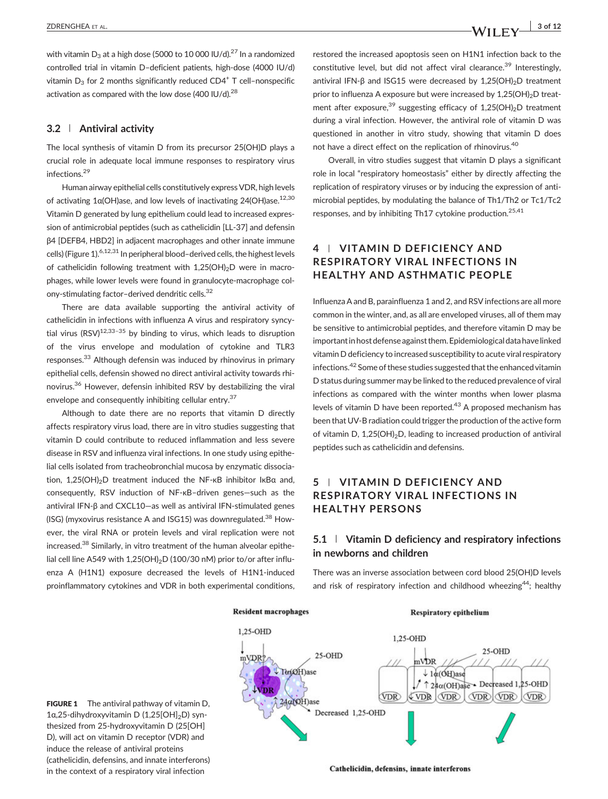with vitamin  $D_3$  at a high dose (5000 to 10 000 IU/d).<sup>27</sup> In a randomized controlled trial in vitamin D–deficient patients, high‐dose (4000 IU/d) vitamin  $D_3$  for 2 months significantly reduced CD4<sup>+</sup> T cell-nonspecific activation as compared with the low dose  $(400 \text{ IU/d})^{28}$ 

#### 3.2 | Antiviral activity

The local synthesis of vitamin D from its precursor 25(OH)D plays a crucial role in adequate local immune responses to respiratory virus infections.<sup>29</sup>

Human airway epithelial cells constitutively express VDR, high levels of activating  $1α(OH)$ ase, and low levels of inactivating 24(OH)ase.<sup>12,30</sup> Vitamin D generated by lung epithelium could lead to increased expression of antimicrobial peptides (such as cathelicidin [LL‐37] and defensin β4 [DEFB4, HBD2] in adjacent macrophages and other innate immune cells) (Figure 1).<sup>6,12,31</sup> In peripheral blood-derived cells, the highest levels of cathelicidin following treatment with 1,25(OH)<sub>2</sub>D were in macrophages, while lower levels were found in granulocyte‐macrophage colony-stimulating factor-derived dendritic cells.<sup>32</sup>

There are data available supporting the antiviral activity of cathelicidin in infections with influenza A virus and respiratory syncytial virus  $(RSV)^{12,33-35}$  by binding to virus, which leads to disruption of the virus envelope and modulation of cytokine and TLR3 responses.<sup>33</sup> Although defensin was induced by rhinovirus in primary epithelial cells, defensin showed no direct antiviral activity towards rhinovirus.36 However, defensin inhibited RSV by destabilizing the viral envelope and consequently inhibiting cellular entry.<sup>37</sup>

Although to date there are no reports that vitamin D directly affects respiratory virus load, there are in vitro studies suggesting that vitamin D could contribute to reduced inflammation and less severe disease in RSV and influenza viral infections. In one study using epithelial cells isolated from tracheobronchial mucosa by enzymatic dissociation, 1,25(OH)<sub>2</sub>D treatment induced the NF-κB inhibitor IκBα and, consequently, RSV induction of NF‐κB–driven genes—such as the antiviral IFN‐β and CXCL10—as well as antiviral IFN‐stimulated genes (ISG) (myxovirus resistance A and ISG15) was downregulated.<sup>38</sup> However, the viral RNA or protein levels and viral replication were not increased.<sup>38</sup> Similarly, in vitro treatment of the human alveolar epithelial cell line A549 with  $1,25(OH)_2D(100/30 nM)$  prior to/or after influenza A (H1N1) exposure decreased the levels of H1N1‐induced proinflammatory cytokines and VDR in both experimental conditions,

restored the increased apoptosis seen on H1N1 infection back to the constitutive level, but did not affect viral clearance.<sup>39</sup> Interestingly, antiviral IFN-β and ISG15 were decreased by 1,25(OH)<sub>2</sub>D treatment prior to influenza A exposure but were increased by  $1,25(OH)<sub>2</sub>D$  treatment after exposure,  $39$  suggesting efficacy of 1,25(OH)<sub>2</sub>D treatment during a viral infection. However, the antiviral role of vitamin D was questioned in another in vitro study, showing that vitamin D does not have a direct effect on the replication of rhinovirus.40

Overall, in vitro studies suggest that vitamin D plays a significant role in local "respiratory homeostasis" either by directly affecting the replication of respiratory viruses or by inducing the expression of antimicrobial peptides, by modulating the balance of Th1/Th2 or Tc1/Tc2 responses, and by inhibiting Th17 cytokine production.<sup>25,41</sup>

## 4 | VITAMIN D DEFICIENCY AND RESPIRATORY VIRAL INFECTIONS IN HEALTHY AND ASTHMATIC PEOPLE

Influenza A and B, parainfluenza 1 and 2, and RSV infections are all more common in the winter, and, as all are enveloped viruses, all of them may be sensitive to antimicrobial peptides, and therefore vitamin D may be importantin host defense against them. Epidemiological data have linked vitamin D deficiency to increased susceptibility to acute viral respiratory infections.42 Some of these studies suggested that the enhanced vitamin D status during summer may be linked to the reduced prevalence of viral infections as compared with the winter months when lower plasma levels of vitamin D have been reported. $43$  A proposed mechanism has been that UV‐B radiation could trigger the production of the active form of vitamin D,  $1,25(OH)_2D$ , leading to increased production of antiviral peptides such as cathelicidin and defensins.

## 5 | VITAMIN D DEFICIENCY AND RESPIRATORY VIRAL INFECTIONS IN HEALTHY PERSONS

## 5.1 | Vitamin D deficiency and respiratory infections in newborns and children

There was an inverse association between cord blood 25(OH)D levels and risk of respiratory infection and childhood wheezing<sup>44</sup>; healthy



**FIGURE 1** The antiviral pathway of vitamin D. 1α,25-dihydroxyvitamin D (1,25[OH]<sub>2</sub>D) synthesized from 25‐hydroxyvitamin D (25[OH] D), will act on vitamin D receptor (VDR) and induce the release of antiviral proteins (cathelicidin, defensins, and innate interferons) in the context of a respiratory viral infection

Cathelicidin, defensins, innate interferons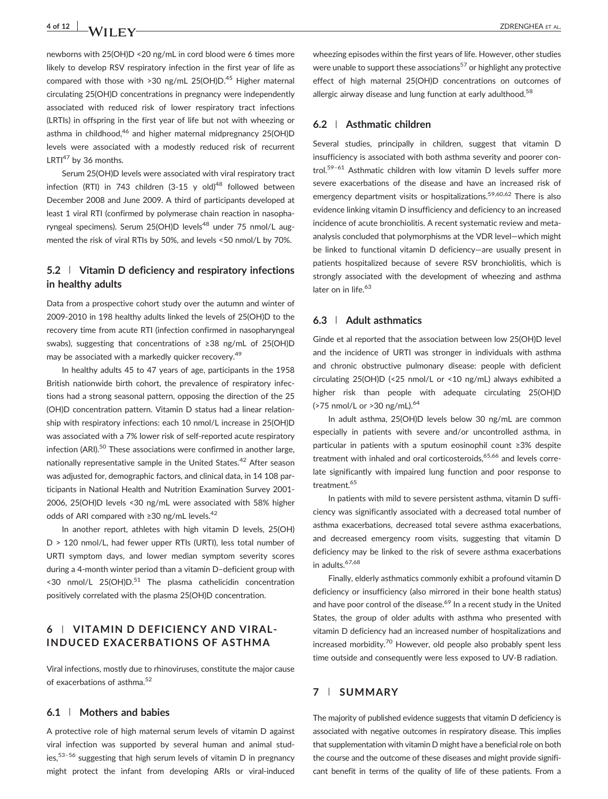# 4 of 12  $\overline{a}$  X  $\overline{a}$  X  $\overline{a}$  T  $\overline{a}$  ZDRENGHEA ET AL.

newborns with 25(OH)D <20 ng/mL in cord blood were 6 times more likely to develop RSV respiratory infection in the first year of life as compared with those with  $>30$  ng/mL 25(OH)D.<sup>45</sup> Higher maternal circulating 25(OH)D concentrations in pregnancy were independently associated with reduced risk of lower respiratory tract infections (LRTIs) in offspring in the first year of life but not with wheezing or asthma in childhood,<sup>46</sup> and higher maternal midpregnancy 25(OH)D levels were associated with a modestly reduced risk of recurrent LRTI $47$  by 36 months.

Serum 25(OH)D levels were associated with viral respiratory tract infection (RTI) in 743 children (3-15 y old)<sup>48</sup> followed between December 2008 and June 2009. A third of participants developed at least 1 viral RTI (confirmed by polymerase chain reaction in nasopharyngeal specimens). Serum 25(OH)D levels<sup>48</sup> under 75 nmol/L augmented the risk of viral RTIs by 50%, and levels <50 nmol/L by 70%.

## 5.2 | Vitamin D deficiency and respiratory infections in healthy adults

Data from a prospective cohort study over the autumn and winter of 2009‐2010 in 198 healthy adults linked the levels of 25(OH)D to the recovery time from acute RTI (infection confirmed in nasopharyngeal swabs), suggesting that concentrations of ≥38 ng/mL of 25(OH)D may be associated with a markedly quicker recovery.<sup>49</sup>

In healthy adults 45 to 47 years of age, participants in the 1958 British nationwide birth cohort, the prevalence of respiratory infections had a strong seasonal pattern, opposing the direction of the 25 (OH)D concentration pattern. Vitamin D status had a linear relationship with respiratory infections: each 10 nmol/L increase in 25(OH)D was associated with a 7% lower risk of self-reported acute respiratory infection (ARI).<sup>50</sup> These associations were confirmed in another large, nationally representative sample in the United States.<sup>42</sup> After season was adjusted for, demographic factors, and clinical data, in 14 108 participants in National Health and Nutrition Examination Survey 2001‐ 2006, 25(OH)D levels <30 ng/mL were associated with 58% higher odds of ARI compared with ≥30 ng/mL levels.<sup>42</sup>

In another report, athletes with high vitamin D levels, 25(OH) D > 120 nmol/L, had fewer upper RTIs (URTI), less total number of URTI symptom days, and lower median symptom severity scores during a 4‐month winter period than a vitamin D–deficient group with  $\leq$  30 nmol/L 25(OH)D.<sup>51</sup> The plasma cathelicidin concentration positively correlated with the plasma 25(OH)D concentration.

## 6 | VITAMIN D DEFICIENCY AND VIRAL‐ INDUCED EXACERBATIONS OF ASTHMA

Viral infections, mostly due to rhinoviruses, constitute the major cause of exacerbations of asthma.<sup>52</sup>

#### 6.1 | Mothers and babies

A protective role of high maternal serum levels of vitamin D against viral infection was supported by several human and animal studies,53–<sup>56</sup> suggesting that high serum levels of vitamin D in pregnancy might protect the infant from developing ARIs or viral‐induced wheezing episodes within the first years of life. However, other studies were unable to support these associations<sup>57</sup> or highlight any protective effect of high maternal 25(OH)D concentrations on outcomes of allergic airway disease and lung function at early adulthood.<sup>58</sup>

#### 6.2 | Asthmatic children

Several studies, principally in children, suggest that vitamin D insufficiency is associated with both asthma severity and poorer control.59–<sup>61</sup> Asthmatic children with low vitamin D levels suffer more severe exacerbations of the disease and have an increased risk of emergency department visits or hospitalizations.<sup>59,60,62</sup> There is also evidence linking vitamin D insufficiency and deficiency to an increased incidence of acute bronchiolitis. A recent systematic review and metaanalysis concluded that polymorphisms at the VDR level—which might be linked to functional vitamin D deficiency—are usually present in patients hospitalized because of severe RSV bronchiolitis, which is strongly associated with the development of wheezing and asthma later on in life.<sup>63</sup>

#### 6.3 | Adult asthmatics

Ginde et al reported that the association between low 25(OH)D level and the incidence of URTI was stronger in individuals with asthma and chronic obstructive pulmonary disease: people with deficient circulating 25(OH)D (<25 nmol/L or <10 ng/mL) always exhibited a higher risk than people with adequate circulating 25(OH)D ( $>75$  nmol/L or  $>30$  ng/mL).<sup>64</sup>

In adult asthma, 25(OH)D levels below 30 ng/mL are common especially in patients with severe and/or uncontrolled asthma, in particular in patients with a sputum eosinophil count ≥3% despite treatment with inhaled and oral corticosteroids.<sup>65,66</sup> and levels correlate significantly with impaired lung function and poor response to treatment.<sup>65</sup>

In patients with mild to severe persistent asthma, vitamin D sufficiency was significantly associated with a decreased total number of asthma exacerbations, decreased total severe asthma exacerbations, and decreased emergency room visits, suggesting that vitamin D deficiency may be linked to the risk of severe asthma exacerbations in adults.<sup>67,68</sup>

Finally, elderly asthmatics commonly exhibit a profound vitamin D deficiency or insufficiency (also mirrored in their bone health status) and have poor control of the disease.<sup>69</sup> In a recent study in the United States, the group of older adults with asthma who presented with vitamin D deficiency had an increased number of hospitalizations and increased morbidity.<sup>70</sup> However, old people also probably spent less time outside and consequently were less exposed to UV‐B radiation.

#### 7 | SUMMARY

The majority of published evidence suggests that vitamin D deficiency is associated with negative outcomes in respiratory disease. This implies that supplementation with vitamin D might have a beneficial role on both the course and the outcome of these diseases and might provide significant benefit in terms of the quality of life of these patients. From a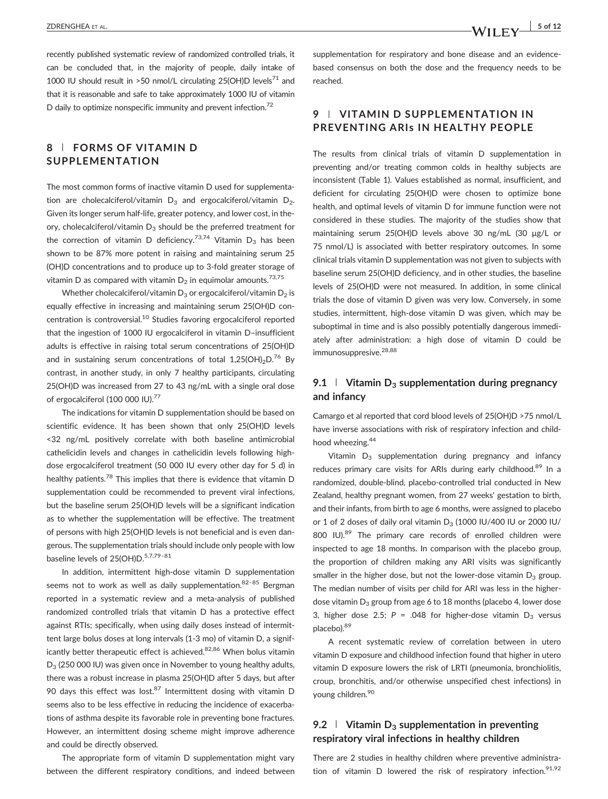recently published systematic review of randomized controlled trials, it can be concluded that, in the majority of people, daily intake of 1000 IU should result in >50 nmol/L circulating 25(OH)D levels<sup>71</sup> and that it is reasonable and safe to take approximately 1000 IU of vitamin D daily to optimize nonspecific immunity and prevent infection.<sup>72</sup>

## 8 | FORMS OF VITAMIN D SUPPLEMENTATION

The most common forms of inactive vitamin D used for supplementation are cholecalciferol/vitamin  $D_3$  and ergocalciferol/vitamin  $D_2$ . Given its longer serum half‐life, greater potency, and lower cost, in theory, cholecalciferol/vitamin  $D_3$  should be the preferred treatment for the correction of vitamin D deficiency.<sup>73,74</sup> Vitamin D<sub>3</sub> has been shown to be 87% more potent in raising and maintaining serum 25 (OH)D concentrations and to produce up to 3‐fold greater storage of vitamin D as compared with vitamin  $D_2$  in equimolar amounts.<sup>73,75</sup>

Whether cholecalciferol/vitamin  $D_3$  or ergocalciferol/vitamin  $D_2$  is equally effective in increasing and maintaining serum 25(OH)D concentration is controversial.<sup>10</sup> Studies favoring ergocalciferol reported that the ingestion of 1000 IU ergocalciferol in vitamin D–insufficient adults is effective in raising total serum concentrations of 25(OH)D and in sustaining serum concentrations of total 1,25(OH)<sub>2</sub>D.<sup>76</sup> By contrast, in another study, in only 7 healthy participants, circulating 25(OH)D was increased from 27 to 43 ng/mL with a single oral dose of ergocalciferol (100 000 IU).<sup>77</sup>

The indications for vitamin D supplementation should be based on scientific evidence. It has been shown that only 25(OH)D levels <32 ng/mL positively correlate with both baseline antimicrobial cathelicidin levels and changes in cathelicidin levels following high‐ dose ergocalciferol treatment (50 000 IU every other day for 5 d) in healthy patients.<sup>78</sup> This implies that there is evidence that vitamin D supplementation could be recommended to prevent viral infections, but the baseline serum 25(OH)D levels will be a significant indication as to whether the supplementation will be effective. The treatment of persons with high 25(OH)D levels is not beneficial and is even dangerous. The supplementation trials should include only people with low baseline levels of 25(OH)D.<sup>5,7,79-81</sup>

In addition, intermittent high‐dose vitamin D supplementation seems not to work as well as daily supplementation.<sup>82-85</sup> Bergman reported in a systematic review and a meta‐analysis of published randomized controlled trials that vitamin D has a protective effect against RTIs; specifically, when using daily doses instead of intermittent large bolus doses at long intervals (1‐3 mo) of vitamin D, a significantly better therapeutic effect is achieved.<sup>82,86</sup> When bolus vitamin D<sub>3</sub> (250 000 IU) was given once in November to young healthy adults, there was a robust increase in plasma 25(OH)D after 5 days, but after 90 days this effect was lost. $87$  Intermittent dosing with vitamin D seems also to be less effective in reducing the incidence of exacerbations of asthma despite its favorable role in preventing bone fractures. However, an intermittent dosing scheme might improve adherence and could be directly observed.

The appropriate form of vitamin D supplementation might vary between the different respiratory conditions, and indeed between supplementation for respiratory and bone disease and an evidence‐ based consensus on both the dose and the frequency needs to be reached.

## 9 | VITAMIN D SUPPLEMENTATION IN PREVENTING ARIs IN HEALTHY PEOPLE

The results from clinical trials of vitamin D supplementation in preventing and/or treating common colds in healthy subjects are inconsistent (Table 1). Values established as normal, insufficient, and deficient for circulating 25(OH)D were chosen to optimize bone health, and optimal levels of vitamin D for immune function were not considered in these studies. The majority of the studies show that maintaining serum 25(OH)D levels above 30 ng/mL (30 μg/L or 75 nmol/L) is associated with better respiratory outcomes. In some clinical trials vitamin D supplementation was not given to subjects with baseline serum 25(OH)D deficiency, and in other studies, the baseline levels of 25(OH)D were not measured. In addition, in some clinical trials the dose of vitamin D given was very low. Conversely, in some studies, intermittent, high‐dose vitamin D was given, which may be suboptimal in time and is also possibly potentially dangerous immediately after administration: a high dose of vitamin D could be immunosuppresive.<sup>28,88</sup>

## 9.1 Vitamin  $D_3$  supplementation during pregnancy and infancy

Camargo et al reported that cord blood levels of 25(OH)D >75 nmol/L have inverse associations with risk of respiratory infection and childhood wheezing.<sup>44</sup>

Vitamin  $D_3$  supplementation during pregnancy and infancy reduces primary care visits for ARIs during early childhood.<sup>89</sup> In a randomized, double‐blind, placebo‐controlled trial conducted in New Zealand, healthy pregnant women, from 27 weeks' gestation to birth, and their infants, from birth to age 6 months, were assigned to placebo or 1 of 2 doses of daily oral vitamin  $D_3$  (1000 IU/400 IU or 2000 IU/ 800 IU).<sup>89</sup> The primary care records of enrolled children were inspected to age 18 months. In comparison with the placebo group, the proportion of children making any ARI visits was significantly smaller in the higher dose, but not the lower-dose vitamin  $D_3$  group. The median number of visits per child for ARI was less in the higher‐ dose vitamin  $D_3$  group from age 6 to 18 months (placebo 4, lower dose 3, higher dose 2.5; P = .048 for higher-dose vitamin  $D_3$  versus placebo).89

A recent systematic review of correlation between in utero vitamin D exposure and childhood infection found that higher in utero vitamin D exposure lowers the risk of LRTI (pneumonia, bronchiolitis, croup, bronchitis, and/or otherwise unspecified chest infections) in young children.<sup>90</sup>

## 9.2  $\parallel$  Vitamin D<sub>3</sub> supplementation in preventing respiratory viral infections in healthy children

There are 2 studies in healthy children where preventive administration of vitamin D lowered the risk of respiratory infection.<sup>91,92</sup>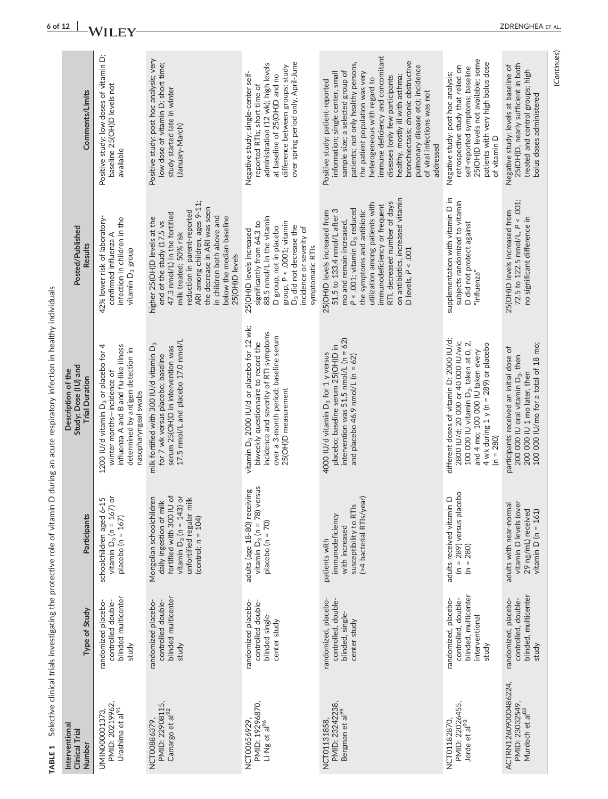| Positive study: low doses of vitamin D;<br>immune deficiency and concomitant<br>Positive study: post hoc analysis; very<br>25(OH)D levels not available; some<br>bronchiectasis; chronic obstructive<br>patients with very high bolus dose<br>over spring period only, April-June<br>patients; not only healthy persons,<br>low dose of vitamin D; short time;<br>administration (12 wk); high levels<br>25(OH)D, nearly sufficient in both<br>pulmonary disease etc); incidence<br>Negative study: levels at baseline of<br>difference between groups; study<br>retrospective study that relied on<br>self-reported symptoms; baseline<br>treated and control groups; high<br>sample size; a selected group of<br>information; single center, small<br>the patient population was very<br>Negative study: single-center self-<br>Negative study: post hoc analysis;<br>at baseline of 25(OH)D and no<br>diseases (only few participants<br>healthy, mostly ill with asthma;<br>heterogeneous with regard to<br>Positive study: patient-reported<br>baseline 25(OH)D levels not<br>reported RTIs; short time of<br>study started late in winter<br>of viral infections was not<br>Comments/Limits<br>bolus doses administered<br>(January-March)<br>of vitamin D<br>addressed<br>available<br>on antibiotics, increased vitamin<br>supplementation with vitamin D in<br>72.5 to 122.5 $nmol/L$ , $P < .001$ ;<br>subjects randomized to vitamin<br>ARI among children, ages 9-11;<br>RTI, decreased number of days<br>utilization among patients with<br>immunodeficiency or frequent<br>the decrease in ARI was seen<br>P < .001; vitamin D <sub>3</sub> reduced<br>51.5 to 133.4 nmol/L after 3<br>reduction in parent-reported<br>the symptoms and antibiotic<br>25(OH)D levels increased from<br>25(OH)D levels increased from<br>47.3 nmol/L) in the fortified<br>in children both above and<br>88.5 nmol/L in the vitamin<br>42% lower risk of laboratory-<br>below the median baseline<br>no significant difference in<br>higher 25(OH)D levels at the<br>infection in children in the<br>end of the study (17.5 vs<br>D did not protect against<br>group, $P < .0001$ ; vitamin<br>mo and remain increased,<br>significantly from 64.3 to<br>D <sub>3</sub> did not decrease the<br>D group, not in placebo<br>incidence or severity of<br>25(OH)D levels increased<br>milk treated; 50% risk<br>confirmed influenza A<br><b>Results</b><br>symptomatic RTIs<br>D levels, $P < .001$<br>vitamin D <sub>3</sub> group<br>25(OH)D levels<br>"influenza"<br>vitamin D <sub>3</sub> 2000 IU/d or placebo for 12 wk;<br>incidence and severity of RTI symptoms<br>over a 3-month period; baseline serum<br>intervention was 51.5 nmol/L ( $n = 62$ )<br>different doses of vitamin D: 2000 IU/d;<br>17.5 nmol/L and placebo 17.0 nmol/L<br>biweekly questionnaire to record the<br>2800 IU/d; 20 000 or 40 000 IU/wk;<br>100 000 IU vitamin D <sub>3</sub> , taken at 0, 2,<br>4 wk during $1$ y ( $n = 289$ ) or placebo<br>milk fortified with 300 IU/d vitamin D <sub>3</sub><br>100 000 IU/mo for a total of 18 mo;<br>placebo; baseline serum 25(OH)D in<br>1200 IU/d vitamin D <sub>3</sub> or placebo for 4<br>influenza A and B and flu-like illness<br>serum 25(OH)D in intervention was<br>participants received an initial dose of<br>determined by antigen detection in<br>and 4 mo; 100 000 IU taken every<br>4000 IU/d vitamin D <sub>3</sub> for 1 y versus<br>for 7 wk versus placebo; baseline<br>and placebo 46.9 nmol/L ( $n = 62$ )<br>200 000 IU oral vitamin D <sub>3</sub> , then<br>winter months-incidence of<br>200 000 IU 1 mo later, then<br><b>Trial Duration</b><br>25(OH)D measurement<br>nasopharyngeal swabs<br>$(n = 280)$<br>vitamin $D_3$ (n = 78) versus<br>adults (age 18-80) receiving<br>$(n = 289)$ versus placebo<br>fortified with 300 IU of<br>ör<br>ŏ<br>Mongolian schoolchildren<br>(>4 bacterial RTIs/year)<br>adults received vitamin D<br>unfortified regular milk<br>schoolchildren aged 6-15<br>daily ingestion of milk<br>adults with near-normal<br>vitamin D levels (over<br>susceptibility to RTIs<br>vitamin $D_3$ (n = 143)<br>29 ng/mL) received<br>vitamin $D_3$ (n = 167<br>vitamin $D(n = 161)$<br>immunodeficiency<br>Participants<br>placebo ( $n = 167$ )<br>(control; $n = 104$ )<br>placebo ( $n = 70$ )<br>with increased<br>patients with<br>$(n = 280)$ |                                                                                 |                                                                     | Description of the   |                  |  |
|---------------------------------------------------------------------------------------------------------------------------------------------------------------------------------------------------------------------------------------------------------------------------------------------------------------------------------------------------------------------------------------------------------------------------------------------------------------------------------------------------------------------------------------------------------------------------------------------------------------------------------------------------------------------------------------------------------------------------------------------------------------------------------------------------------------------------------------------------------------------------------------------------------------------------------------------------------------------------------------------------------------------------------------------------------------------------------------------------------------------------------------------------------------------------------------------------------------------------------------------------------------------------------------------------------------------------------------------------------------------------------------------------------------------------------------------------------------------------------------------------------------------------------------------------------------------------------------------------------------------------------------------------------------------------------------------------------------------------------------------------------------------------------------------------------------------------------------------------------------------------------------------------------------------------------------------------------------------------------------------------------------------------------------------------------------------------------------------------------------------------------------------------------------------------------------------------------------------------------------------------------------------------------------------------------------------------------------------------------------------------------------------------------------------------------------------------------------------------------------------------------------------------------------------------------------------------------------------------------------------------------------------------------------------------------------------------------------------------------------------------------------------------------------------------------------------------------------------------------------------------------------------------------------------------------------------------------------------------------------------------------------------------------------------------------------------------------------------------------------------------------------------------------------------------------------------------------------------------------------------------------------------------------------------------------------------------------------------------------------------------------------------------------------------------------------------------------------------------------------------------------------------------------------------------------------------------------------------------------------------------------------------------------------------------------------------------------------------------------------------------------------------------------------------------------------------------------------------------------------------------------------------------------------------------------------------------------------------------------------------------------------------------------------------------------------------------------------------------------------------------------------------------------------------------------------------------------------------------------------------------------------------------------------------------------------------------------------------------------------------------------------------------------------------------------|---------------------------------------------------------------------------------|---------------------------------------------------------------------|----------------------|------------------|--|
|                                                                                                                                                                                                                                                                                                                                                                                                                                                                                                                                                                                                                                                                                                                                                                                                                                                                                                                                                                                                                                                                                                                                                                                                                                                                                                                                                                                                                                                                                                                                                                                                                                                                                                                                                                                                                                                                                                                                                                                                                                                                                                                                                                                                                                                                                                                                                                                                                                                                                                                                                                                                                                                                                                                                                                                                                                                                                                                                                                                                                                                                                                                                                                                                                                                                                                                                                                                                                                                                                                                                                                                                                                                                                                                                                                                                                                                                                                                                                                                                                                                                                                                                                                                                                                                                                                                                                                                                                                 | Type of Study                                                                   |                                                                     | Study: Dose (IU) and | Posted/Published |  |
|                                                                                                                                                                                                                                                                                                                                                                                                                                                                                                                                                                                                                                                                                                                                                                                                                                                                                                                                                                                                                                                                                                                                                                                                                                                                                                                                                                                                                                                                                                                                                                                                                                                                                                                                                                                                                                                                                                                                                                                                                                                                                                                                                                                                                                                                                                                                                                                                                                                                                                                                                                                                                                                                                                                                                                                                                                                                                                                                                                                                                                                                                                                                                                                                                                                                                                                                                                                                                                                                                                                                                                                                                                                                                                                                                                                                                                                                                                                                                                                                                                                                                                                                                                                                                                                                                                                                                                                                                                 | blinded multicenter<br>controlled double-<br>randomized placebo-<br>study       |                                                                     |                      |                  |  |
|                                                                                                                                                                                                                                                                                                                                                                                                                                                                                                                                                                                                                                                                                                                                                                                                                                                                                                                                                                                                                                                                                                                                                                                                                                                                                                                                                                                                                                                                                                                                                                                                                                                                                                                                                                                                                                                                                                                                                                                                                                                                                                                                                                                                                                                                                                                                                                                                                                                                                                                                                                                                                                                                                                                                                                                                                                                                                                                                                                                                                                                                                                                                                                                                                                                                                                                                                                                                                                                                                                                                                                                                                                                                                                                                                                                                                                                                                                                                                                                                                                                                                                                                                                                                                                                                                                                                                                                                                                 | blinded multicenter<br>randomized placebo-<br>controlled double-<br>study       |                                                                     |                      |                  |  |
|                                                                                                                                                                                                                                                                                                                                                                                                                                                                                                                                                                                                                                                                                                                                                                                                                                                                                                                                                                                                                                                                                                                                                                                                                                                                                                                                                                                                                                                                                                                                                                                                                                                                                                                                                                                                                                                                                                                                                                                                                                                                                                                                                                                                                                                                                                                                                                                                                                                                                                                                                                                                                                                                                                                                                                                                                                                                                                                                                                                                                                                                                                                                                                                                                                                                                                                                                                                                                                                                                                                                                                                                                                                                                                                                                                                                                                                                                                                                                                                                                                                                                                                                                                                                                                                                                                                                                                                                                                 | randomized placebo-<br>controlled double-<br>blinded single-<br>center study    |                                                                     |                      |                  |  |
|                                                                                                                                                                                                                                                                                                                                                                                                                                                                                                                                                                                                                                                                                                                                                                                                                                                                                                                                                                                                                                                                                                                                                                                                                                                                                                                                                                                                                                                                                                                                                                                                                                                                                                                                                                                                                                                                                                                                                                                                                                                                                                                                                                                                                                                                                                                                                                                                                                                                                                                                                                                                                                                                                                                                                                                                                                                                                                                                                                                                                                                                                                                                                                                                                                                                                                                                                                                                                                                                                                                                                                                                                                                                                                                                                                                                                                                                                                                                                                                                                                                                                                                                                                                                                                                                                                                                                                                                                                 | randomized, placebo-<br>controlled, double-<br>blinded, single-<br>center study |                                                                     |                      |                  |  |
|                                                                                                                                                                                                                                                                                                                                                                                                                                                                                                                                                                                                                                                                                                                                                                                                                                                                                                                                                                                                                                                                                                                                                                                                                                                                                                                                                                                                                                                                                                                                                                                                                                                                                                                                                                                                                                                                                                                                                                                                                                                                                                                                                                                                                                                                                                                                                                                                                                                                                                                                                                                                                                                                                                                                                                                                                                                                                                                                                                                                                                                                                                                                                                                                                                                                                                                                                                                                                                                                                                                                                                                                                                                                                                                                                                                                                                                                                                                                                                                                                                                                                                                                                                                                                                                                                                                                                                                                                                 | randomized, placebo-<br>interventional<br>study                                 | blinded, multicenter<br>controlled, double-                         |                      |                  |  |
|                                                                                                                                                                                                                                                                                                                                                                                                                                                                                                                                                                                                                                                                                                                                                                                                                                                                                                                                                                                                                                                                                                                                                                                                                                                                                                                                                                                                                                                                                                                                                                                                                                                                                                                                                                                                                                                                                                                                                                                                                                                                                                                                                                                                                                                                                                                                                                                                                                                                                                                                                                                                                                                                                                                                                                                                                                                                                                                                                                                                                                                                                                                                                                                                                                                                                                                                                                                                                                                                                                                                                                                                                                                                                                                                                                                                                                                                                                                                                                                                                                                                                                                                                                                                                                                                                                                                                                                                                                 | study                                                                           | blinded, multicenter<br>randomized, placebo-<br>controlled, double- |                      |                  |  |

TABLE 1 Selective clinical trials investigating the protective role of vitamin D during an acute respiratory infection in healthy individuals TABLE 1 Selective clinical trials investigating the protective role of vitamin D during an acute respiratory infection in healthy individuals

 $rac{6 \text{ of } 12 \text{ }}{W1 \text{ L EY}}$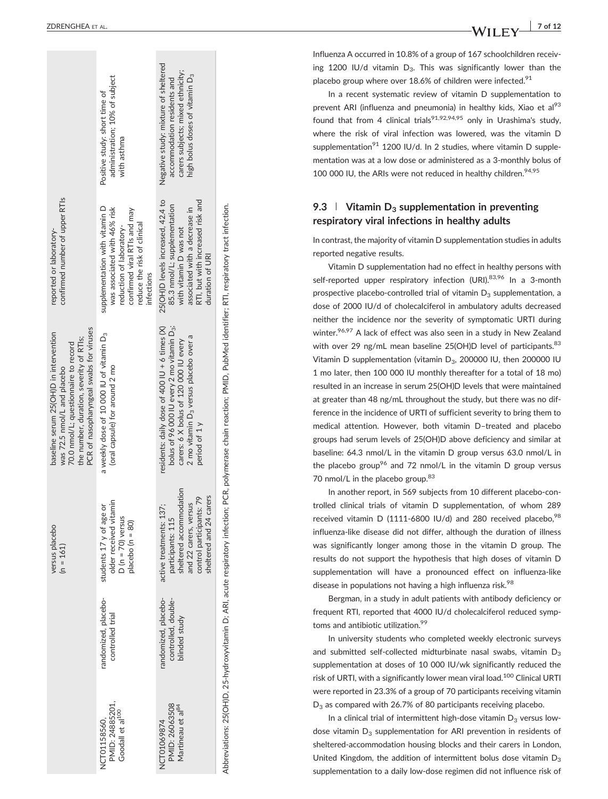|                                                                                                                                                                                                     | administration; 10% of subject<br>Positive study: short time of<br>with asthma                                                                                          | Negative study: mixture of sheltered<br>carers subjects; mixed ethnicity;<br>high bolus doses of vitamin D <sub>3</sub><br>accommodation residents and                                                                   |                                                                                                                                                                           |
|-----------------------------------------------------------------------------------------------------------------------------------------------------------------------------------------------------|-------------------------------------------------------------------------------------------------------------------------------------------------------------------------|--------------------------------------------------------------------------------------------------------------------------------------------------------------------------------------------------------------------------|---------------------------------------------------------------------------------------------------------------------------------------------------------------------------|
| confirmed number of upper RTIs<br>reported or laboratory-                                                                                                                                           | supplementation with vitamin D<br>was associated with 46% risk<br>confirmed viral RTIs and may<br>reduce the risk of clinical<br>reduction of laboratory-<br>infections | 25(OH)D levels increased, 42.4 to<br>RTI, but with increased risk and<br>85.3 nmol/L; supplementation<br>associated with a decrease in<br>with vitamin D was not<br>duration of URI                                      |                                                                                                                                                                           |
| PCR of nasopharyngeal swabs for viruses<br>baseline serum 25(OH)D in intervention<br>the number, duration, severity of RTIs;<br>70.0 nmol/L; questionnaire to record<br>was 72.5 nmol/L and placebo | a weekly dose of 10 000 IU of vitamin D <sub>3</sub><br>(oral capsule) for around 2 mo                                                                                  | residents: daily dose of 400 IU + 6 times $(X)$<br>bolus of 96 000 IU every 2 mo vitamin D <sub>3</sub> ;<br>2 mo vitamin D <sub>3</sub> versus placebo over a<br>carers: 6 X bolus of 120 000 IU every<br>period of 1 y | Abbreviations: 25(OH)D, 25-hydroxyvitamin D; ARI, acute respiratory infection; PCR, polymerase chain reaction; PMID, PubMed identifier; RTI, respiratory tract infection. |
| versus placebo<br>$(n = 161)$                                                                                                                                                                       | older received vitamin<br>students 17 y of age or<br>$D (n = 70)$ versus<br>placebo ( $n = 80$ )                                                                        | sheltered accommodation<br>sheltered and 24 carers<br>control participants: 79<br>and 22 carers, versus<br>active treatments: 137;<br>participants: 115                                                                  |                                                                                                                                                                           |
|                                                                                                                                                                                                     | randomized, placebo-<br>controlled trial                                                                                                                                | randomized, placebo-<br>controlled, double-<br>blinded study                                                                                                                                                             |                                                                                                                                                                           |
|                                                                                                                                                                                                     | PMID: 24885201,<br>Goodall et al <sup>100</sup><br>NCT01158560.                                                                                                         | PMID: 26063508<br>Martineau et al <sup>84</sup><br>NCT01069874                                                                                                                                                           |                                                                                                                                                                           |

 $WILEY$ <sup> $7 of 12$ </sup>

Influenza A occurred in 10.8% of a group of 167 schoolchildren receiving 1200 IU/d vitamin  $D_3$ . This was significantly lower than the placebo group where over 18.6% of children were infected. $91$ 

In a recent systematic review of vitamin D supplementation to prevent ARI (influenza and pneumonia) in healthy kids, Xiao et al<sup>93</sup> found that from 4 clinical trials<sup>91,92,94,95</sup> only in Urashima's study. where the risk of viral infection was lowered, was the vitamin D supplementation<sup>91</sup> 1200 IU/d. In 2 studies, where vitamin D supplementation was at a low dose or administered as a 3‐monthly bolus of 100 000 IU, the ARIs were not reduced in healthy children.  $94,95$ 

## 9.3  $\parallel$  Vitamin D<sub>3</sub> supplementation in preventing respiratory viral infections in healthy adults

In contrast, the majority of vitamin D supplementation studies in adults reported negative results.

Vitamin D supplementation had no effect in healthy persons with self-reported upper respiratory infection (URI).<sup>83,96</sup> In a 3-month prospective placebo-controlled trial of vitamin  $D_3$  supplementation, a dose of 2000 IU/d of cholecalciferol in ambulatory adults decreased neither the incidence nor the severity of symptomatic URTI during winter.<sup>96,97</sup> A lack of effect was also seen in a study in New Zealand with over 29 ng/mL mean baseline 25(OH)D level of participants.<sup>83</sup> Vitamin D supplementation (vitamin D 3, 200000 IU, then 200000 IU 1 mo later, then 100 000 IU monthly thereafter for a total of 18 mo) resulted in an increase in serum 25(OH)D levels that were maintained at greater than 48 ng/mL throughout the study, but there was no difference in the incidence of URTI of sufficient severity to bring them to medical attention. However, both vitamin D –treated and placebo groups had serum levels of 25(OH)D above deficiency and similar at baseline: 64.3 nmol/L in the vitamin D group versus 63.0 nmol/L in the placebo group<sup>96</sup> and 72 nmol/L in the vitamin D group versus 70 nmol/L in the placebo group.<sup>83</sup>

In another report, in 569 subjects from 10 different placebo ‐controlled clinical trials of vitamin D supplementation, of whom 289 received vitamin D (1111-6800 IU/d) and 280 received placebo, 98 influenza ‐like disease did not differ, although the duration of illness was significantly longer among those in the vitamin D group. The results do not support the hypothesis that high doses of vitamin D supplementation will have a pronounced effect on influenza ‐like disease in populations not having a high influenza risk.<sup>98</sup>

Bergman, in a study in adult patients with antibody deficiency or frequent RTI, reported that 4000 IU/d cholecalciferol reduced symptoms and antibiotic utilization.<sup>99</sup>

In university students who completed weekly electronic surveys and submitted self-collected midturbinate nasal swabs, vitamin D<sub>3</sub> supplementation at doses of 10 000 IU/wk significantly reduced the risk of URTI, with a significantly lower mean viral load.<sup>100</sup> Clinical URTI were reported in 23.3% of a group of 70 participants receiving vitamin  $D_3$  as compared with 26.7% of 80 participants receiving placebo.

In a clinical trial of intermittent high-dose vitamin  $D_3$  versus lowdose vitamin  $D_3$  supplementation for ARI prevention in residents of sheltered ‐accommodation housing blocks and their carers in London, United Kingdom, the addition of intermittent bolus dose vitamin  $D_3$ supplementation to a daily low-dose regimen did not influence risk of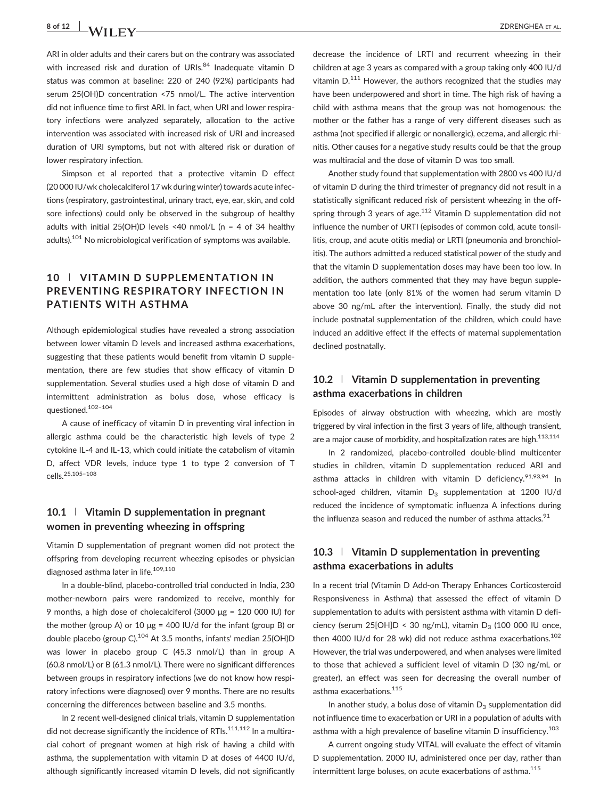# 8 of 12 X A / I I I I V CHARGE ALL 2DRENGHEA ET AL.

ARI in older adults and their carers but on the contrary was associated with increased risk and duration of URIs.<sup>84</sup> Inadequate vitamin D status was common at baseline: 220 of 240 (92%) participants had serum 25(OH)D concentration <75 nmol/L. The active intervention did not influence time to first ARI. In fact, when URI and lower respiratory infections were analyzed separately, allocation to the active intervention was associated with increased risk of URI and increased duration of URI symptoms, but not with altered risk or duration of lower respiratory infection.

Simpson et al reported that a protective vitamin D effect (20 000 IU/wk cholecalciferol 17 wk during winter) towards acute infections (respiratory, gastrointestinal, urinary tract, eye, ear, skin, and cold sore infections) could only be observed in the subgroup of healthy adults with initial 25(OH)D levels <40 nmol/L (n = 4 of 34 healthy adults). $101$  No microbiological verification of symptoms was available.

## 10 | VITAMIN D SUPPLEMENTATION IN PREVENTING RESPIRATORY INFECTION IN PATIENTS WITH ASTHMA

Although epidemiological studies have revealed a strong association between lower vitamin D levels and increased asthma exacerbations, suggesting that these patients would benefit from vitamin D supplementation, there are few studies that show efficacy of vitamin D supplementation. Several studies used a high dose of vitamin D and intermittent administration as bolus dose, whose efficacy is questioned.102–<sup>104</sup>

A cause of inefficacy of vitamin D in preventing viral infection in allergic asthma could be the characteristic high levels of type 2 cytokine IL‐4 and IL‐13, which could initiate the catabolism of vitamin D, affect VDR levels, induce type 1 to type 2 conversion of T cells.25,105–<sup>108</sup>

## 10.1 | Vitamin D supplementation in pregnant women in preventing wheezing in offspring

Vitamin D supplementation of pregnant women did not protect the offspring from developing recurrent wheezing episodes or physician diagnosed asthma later in life.<sup>109,110</sup>

In a double‐blind, placebo‐controlled trial conducted in India, 230 mother‐newborn pairs were randomized to receive, monthly for 9 months, a high dose of cholecalciferol (3000 μg = 120 000 IU) for the mother (group A) or 10  $\mu$ g = 400 IU/d for the infant (group B) or double placebo (group C).<sup>104</sup> At 3.5 months, infants' median 25(OH)D was lower in placebo group C (45.3 nmol/L) than in group A (60.8 nmol/L) or B (61.3 nmol/L). There were no significant differences between groups in respiratory infections (we do not know how respiratory infections were diagnosed) over 9 months. There are no results concerning the differences between baseline and 3.5 months.

In 2 recent well-designed clinical trials, vitamin D supplementation did not decrease significantly the incidence of RTIs. $111,112$  In a multiracial cohort of pregnant women at high risk of having a child with asthma, the supplementation with vitamin D at doses of 4400 IU/d, although significantly increased vitamin D levels, did not significantly decrease the incidence of LRTI and recurrent wheezing in their children at age 3 years as compared with a group taking only 400 IU/d vitamin  $D^{111}$  However, the authors recognized that the studies may have been underpowered and short in time. The high risk of having a child with asthma means that the group was not homogenous: the mother or the father has a range of very different diseases such as asthma (not specified if allergic or nonallergic), eczema, and allergic rhinitis. Other causes for a negative study results could be that the group was multiracial and the dose of vitamin D was too small.

Another study found that supplementation with 2800 vs 400 IU/d of vitamin D during the third trimester of pregnancy did not result in a statistically significant reduced risk of persistent wheezing in the offspring through 3 years of age.<sup>112</sup> Vitamin D supplementation did not influence the number of URTI (episodes of common cold, acute tonsillitis, croup, and acute otitis media) or LRTI (pneumonia and bronchiolitis). The authors admitted a reduced statistical power of the study and that the vitamin D supplementation doses may have been too low. In addition, the authors commented that they may have begun supplementation too late (only 81% of the women had serum vitamin D above 30 ng/mL after the intervention). Finally, the study did not include postnatal supplementation of the children, which could have induced an additive effect if the effects of maternal supplementation declined postnatally.

## 10.2 | Vitamin D supplementation in preventing asthma exacerbations in children

Episodes of airway obstruction with wheezing, which are mostly triggered by viral infection in the first 3 years of life, although transient, are a major cause of morbidity, and hospitalization rates are high.<sup>113,114</sup>

In 2 randomized, placebo‐controlled double‐blind multicenter studies in children, vitamin D supplementation reduced ARI and asthma attacks in children with vitamin D deficiency.<sup>91,93,94</sup> In school-aged children, vitamin  $D_3$  supplementation at 1200 IU/d reduced the incidence of symptomatic influenza A infections during the influenza season and reduced the number of asthma attacks. $91$ 

## 10.3 | Vitamin D supplementation in preventing asthma exacerbations in adults

In a recent trial (Vitamin D Add‐on Therapy Enhances Corticosteroid Responsiveness in Asthma) that assessed the effect of vitamin D supplementation to adults with persistent asthma with vitamin D deficiency (serum 25[OH]D < 30 ng/mL), vitamin  $D_3$  (100 000 IU once, then 4000 IU/d for 28 wk) did not reduce asthma exacerbations.<sup>102</sup> However, the trial was underpowered, and when analyses were limited to those that achieved a sufficient level of vitamin D (30 ng/mL or greater), an effect was seen for decreasing the overall number of asthma exacerbations.115

In another study, a bolus dose of vitamin  $D_3$  supplementation did not influence time to exacerbation or URI in a population of adults with asthma with a high prevalence of baseline vitamin D insufficiency.<sup>103</sup>

A current ongoing study VITAL will evaluate the effect of vitamin D supplementation, 2000 IU, administered once per day, rather than intermittent large boluses, on acute exacerbations of asthma.115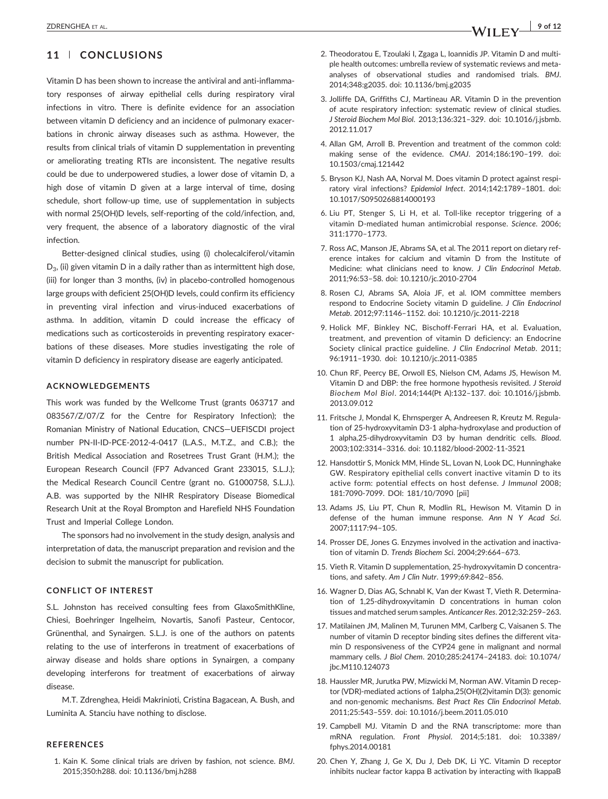## 11 | CONCLUSIONS

Vitamin D has been shown to increase the antiviral and anti‐inflammatory responses of airway epithelial cells during respiratory viral infections in vitro. There is definite evidence for an association between vitamin D deficiency and an incidence of pulmonary exacerbations in chronic airway diseases such as asthma. However, the results from clinical trials of vitamin D supplementation in preventing or ameliorating treating RTIs are inconsistent. The negative results could be due to underpowered studies, a lower dose of vitamin D, a high dose of vitamin D given at a large interval of time, dosing schedule, short follow‐up time, use of supplementation in subjects with normal 25(OH)D levels, self-reporting of the cold/infection, and, very frequent, the absence of a laboratory diagnostic of the viral infection.

Better‐designed clinical studies, using (i) cholecalciferol/vitamin  $D_3$ , (ii) given vitamin D in a daily rather than as intermittent high dose, (iii) for longer than 3 months, (iv) in placebo‐controlled homogenous large groups with deficient 25(OH)D levels, could confirm its efficiency in preventing viral infection and virus‐induced exacerbations of asthma. In addition, vitamin D could increase the efficacy of medications such as corticosteroids in preventing respiratory exacerbations of these diseases. More studies investigating the role of vitamin D deficiency in respiratory disease are eagerly anticipated.

#### ACKNOWLEDGEMENTS

This work was funded by the Wellcome Trust (grants 063717 and 083567/Z/07/Z for the Centre for Respiratory Infection); the Romanian Ministry of National Education, CNCS—UEFISCDI project number PN‐II‐ID‐PCE‐2012‐4‐0417 (L.A.S., M.T.Z., and C.B.); the British Medical Association and Rosetrees Trust Grant (H.M.); the European Research Council (FP7 Advanced Grant 233015, S.L.J.); the Medical Research Council Centre (grant no. G1000758, S.L.J.). A.B. was supported by the NIHR Respiratory Disease Biomedical Research Unit at the Royal Brompton and Harefield NHS Foundation Trust and Imperial College London.

The sponsors had no involvement in the study design, analysis and interpretation of data, the manuscript preparation and revision and the decision to submit the manuscript for publication.

#### CONFLICT OF INTEREST

S.L. Johnston has received consulting fees from GlaxoSmithKline, Chiesi, Boehringer Ingelheim, Novartis, Sanofi Pasteur, Centocor, Grünenthal, and Synairgen. S.L.J. is one of the authors on patents relating to the use of interferons in treatment of exacerbations of airway disease and holds share options in Synairgen, a company developing interferons for treatment of exacerbations of airway disease.

M.T. Zdrenghea, Heidi Makrinioti, Cristina Bagacean, A. Bush, and Luminita A. Stanciu have nothing to disclose.

#### REFERENCES

1. Kain K. Some clinical trials are driven by fashion, not science. BMJ. 2015;350:h288. doi: [10.1136/bmj.h288](http://dx.doi.org/10.1136/bmj.h288)

- 2. Theodoratou E, Tzoulaki I, Zgaga L, Ioannidis JP. Vitamin D and multiple health outcomes: umbrella review of systematic reviews and meta‐ analyses of observational studies and randomised trials. BMJ. 2014;348:g2035. doi: [10.1136/bmj.g2035](http://dx.doi.org/10.1136/bmj.g2035)
- 3. Jolliffe DA, Griffiths CJ, Martineau AR. Vitamin D in the prevention of acute respiratory infection: systematic review of clinical studies. J Steroid Biochem Mol Biol. 2013;136:321–329. doi: [10.1016/j.jsbmb.](http://dx.doi.org/10.1016/j.jsbmb.2012.11.017) [2012.11.017](http://dx.doi.org/10.1016/j.jsbmb.2012.11.017)
- 4. Allan GM, Arroll B. Prevention and treatment of the common cold: making sense of the evidence. CMAJ. 2014;186:190–199. doi: [10.1503/cmaj.121442](http://dx.doi.org/10.1503/cmaj.121442)
- 5. Bryson KJ, Nash AA, Norval M. Does vitamin D protect against respiratory viral infections? Epidemiol Infect. 2014;142:1789–1801. doi: [10.1017/S0950268814000193](http://dx.doi.org/10.1017/S0950268814000193)
- 6. Liu PT, Stenger S, Li H, et al. Toll‐like receptor triggering of a vitamin D‐mediated human antimicrobial response. Science. 2006; 311:1770–1773.
- 7. Ross AC, Manson JE, Abrams SA, et al. The 2011 report on dietary reference intakes for calcium and vitamin D from the Institute of Medicine: what clinicians need to know. J Clin Endocrinol Metab. 2011;96:53–58. doi: [10.1210/jc.2010-2704](http://dx.doi.org/10.1210/jc.2010-2704)
- 8. Rosen CJ, Abrams SA, Aloia JF, et al. IOM committee members respond to Endocrine Society vitamin D guideline. J Clin Endocrinol Metab. 2012;97:1146–1152. doi: [10.1210/jc.2011-2218](http://dx.doi.org/10.1210/jc.2011-2218)
- 9. Holick MF, Binkley NC, Bischoff‐Ferrari HA, et al. Evaluation, treatment, and prevention of vitamin D deficiency: an Endocrine Society clinical practice guideline. J Clin Endocrinol Metab. 2011; 96:1911–1930. doi: [10.1210/jc.2011-0385](http://dx.doi.org/10.1210/jc.2011-0385)
- 10. Chun RF, Peercy BE, Orwoll ES, Nielson CM, Adams JS, Hewison M. Vitamin D and DBP: the free hormone hypothesis revisited. J Steroid Biochem Mol Biol. 2014;144(Pt A):132–137. doi: [10.1016/j.jsbmb.](http://dx.doi.org/10.1016/j.jsbmb.2013.09.012) [2013.09.012](http://dx.doi.org/10.1016/j.jsbmb.2013.09.012)
- 11. Fritsche J, Mondal K, Ehrnsperger A, Andreesen R, Kreutz M. Regulation of 25‐hydroxyvitamin D3‐1 alpha‐hydroxylase and production of 1 alpha,25‐dihydroxyvitamin D3 by human dendritic cells. Blood. 2003;102:3314–3316. doi: [10.1182/blood-2002-11-3521](http://dx.doi.org/10.1182/blood-2002-11-3521)
- 12. Hansdottir S, Monick MM, Hinde SL, Lovan N, Look DC, Hunninghake GW. Respiratory epithelial cells convert inactive vitamin D to its active form: potential effects on host defense. J Immunol 2008; 181:7090‐7099. DOI: 181/10/7090 [pii]
- 13. Adams JS, Liu PT, Chun R, Modlin RL, Hewison M. Vitamin D in defense of the human immune response. Ann N Y Acad Sci. 2007;1117:94–105.
- 14. Prosser DE, Jones G. Enzymes involved in the activation and inactivation of vitamin D. Trends Biochem Sci. 2004;29:664–673.
- 15. Vieth R. Vitamin D supplementation, 25‐hydroxyvitamin D concentrations, and safety. Am J Clin Nutr. 1999;69:842–856.
- 16. Wagner D, Dias AG, Schnabl K, Van der Kwast T, Vieth R. Determination of 1,25‐dihydroxyvitamin D concentrations in human colon tissues and matched serum samples. Anticancer Res. 2012;32:259–263.
- 17. Matilainen JM, Malinen M, Turunen MM, Carlberg C, Vaisanen S. The number of vitamin D receptor binding sites defines the different vitamin D responsiveness of the CYP24 gene in malignant and normal mammary cells. J Biol Chem. 2010;285:24174–24183. doi: [10.1074/](http://dx.doi.org/10.1074/jbc.M110.124073) [jbc.M110.124073](http://dx.doi.org/10.1074/jbc.M110.124073)
- 18. Haussler MR, Jurutka PW, Mizwicki M, Norman AW. Vitamin D receptor (VDR)‐mediated actions of 1alpha,25(OH)(2)vitamin D(3): genomic and non‐genomic mechanisms. Best Pract Res Clin Endocrinol Metab. 2011;25:543–559. doi: [10.1016/j.beem.2011.05.010](http://dx.doi.org/10.1016/j.beem.2011.05.010)
- 19. Campbell MJ. Vitamin D and the RNA transcriptome: more than mRNA regulation. Front Physiol. 2014;5:181. doi: [10.3389/](http://dx.doi.org/10.3389/fphys.2014.00181) [fphys.2014.00181](http://dx.doi.org/10.3389/fphys.2014.00181)
- 20. Chen Y, Zhang J, Ge X, Du J, Deb DK, Li YC. Vitamin D receptor inhibits nuclear factor kappa B activation by interacting with IkappaB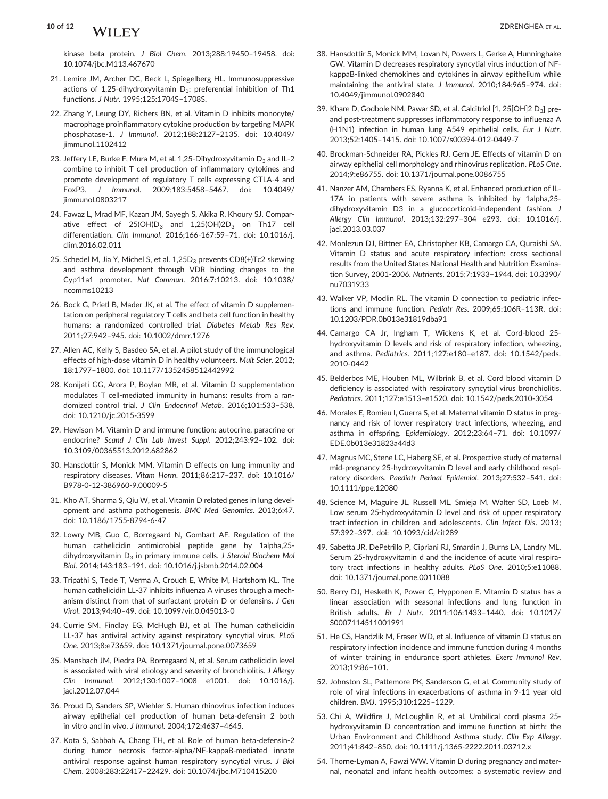# 10 of 12  $\overline{a}$  **14/11**  $\overline{a}$

kinase beta protein. J Biol Chem. 2013;288:19450–19458. doi: [10.1074/jbc.M113.467670](http://dx.doi.org/10.1074/jbc.M113.467670)

- 21. Lemire JM, Archer DC, Beck L, Spiegelberg HL. Immunosuppressive actions of 1,25-dihydroxyvitamin D<sub>3</sub>: preferential inhibition of Th1 functions. J Nutr. 1995;125:1704S–1708S.
- 22. Zhang Y, Leung DY, Richers BN, et al. Vitamin D inhibits monocyte/ macrophage proinflammatory cytokine production by targeting MAPK phosphatase‐1. J Immunol. 2012;188:2127–2135. doi: [10.4049/](http://dx.doi.org/10.4049/jimmunol.1102412) iimmunol.1102412
- 23. Jeffery LE, Burke F, Mura M, et al. 1,25-Dihydroxyvitamin  $D_3$  and IL-2 combine to inhibit T cell production of inflammatory cytokines and promote development of regulatory T cells expressing CTLA‐4 and FoxP3. J Immunol. 2009;183:5458–5467. doi: [10.4049/](http://dx.doi.org/10.4049/jimmunol.0803217) [jimmunol.0803217](http://dx.doi.org/10.4049/jimmunol.0803217)
- 24. Fawaz L, Mrad MF, Kazan JM, Sayegh S, Akika R, Khoury SJ. Comparative effect of  $25(OH)D_3$  and  $1,25(OH)2D_3$  on Th17 cell differentiation. Clin Immunol. 2016;166‐167:59–71. doi: [10.1016/j.](http://dx.doi.org/10.1016/j.clim.2016.02.011) [clim.2016.02.011](http://dx.doi.org/10.1016/j.clim.2016.02.011)
- 25. Schedel M, Jia Y, Michel S, et al. 1,25D<sub>3</sub> prevents CD8(+)Tc2 skewing and asthma development through VDR binding changes to the Cyp11a1 promoter. Nat Commun. 2016;7:10213. doi: [10.1038/](http://dx.doi.org/10.1038/ncomms10213) [ncomms10213](http://dx.doi.org/10.1038/ncomms10213)
- 26. Bock G, Prietl B, Mader JK, et al. The effect of vitamin D supplementation on peripheral regulatory T cells and beta cell function in healthy humans: a randomized controlled trial. Diabetes Metab Res Rev. 2011;27:942–945. doi: [10.1002/dmrr.1276](http://dx.doi.org/10.1002/dmrr.1276)
- 27. Allen AC, Kelly S, Basdeo SA, et al. A pilot study of the immunological effects of high-dose vitamin D in healthy volunteers. Mult Scler. 2012; 18:1797–1800. doi: [10.1177/1352458512442992](http://dx.doi.org/10.1177/1352458512442992)
- 28. Konijeti GG, Arora P, Boylan MR, et al. Vitamin D supplementation modulates T cell-mediated immunity in humans: results from a randomized control trial. J Clin Endocrinol Metab. 2016;101:533–538. doi: [10.1210/jc.2015-3599](http://dx.doi.org/10.1210/jc.2015-3599)
- 29. Hewison M. Vitamin D and immune function: autocrine, paracrine or endocrine? Scand J Clin Lab Invest Suppl. 2012;243:92-102. doi: [10.3109/00365513.2012.682862](http://dx.doi.org/10.3109/00365513.2012.682862)
- 30. Hansdottir S, Monick MM. Vitamin D effects on lung immunity and respiratory diseases. Vitam Horm. 2011;86:217–237. doi: [10.1016/](http://dx.doi.org/10.1016/B978-0-12-386960-9.00009-5) [B978-0-12-386960-9.00009-5](http://dx.doi.org/10.1016/B978-0-12-386960-9.00009-5)
- 31. Kho AT, Sharma S, Qiu W, et al. Vitamin D related genes in lung development and asthma pathogenesis. BMC Med Genomics. 2013;6:47. doi: [10.1186/1755-8794-6-47](http://dx.doi.org/10.1186/1755-8794-6-47)
- 32. Lowry MB, Guo C, Borregaard N, Gombart AF. Regulation of the human cathelicidin antimicrobial peptide gene by 1alpha,25‐ dihydroxyvitamin  $D_3$  in primary immune cells. J Steroid Biochem Mol Biol. 2014;143:183–191. doi: [10.1016/j.jsbmb.2014.02.004](http://dx.doi.org/10.1016/j.jsbmb.2014.02.004)
- 33. Tripathi S, Tecle T, Verma A, Crouch E, White M, Hartshorn KL. The human cathelicidin LL‐37 inhibits influenza A viruses through a mechanism distinct from that of surfactant protein D or defensins. J Gen Virol. 2013;94:40–49. doi: [10.1099/vir.0.045013-0](http://dx.doi.org/10.1099/vir.0.045013-0)
- 34. Currie SM, Findlay EG, McHugh BJ, et al. The human cathelicidin LL‐37 has antiviral activity against respiratory syncytial virus. PLoS One. 2013;8:e73659. doi: [10.1371/journal.pone.0073659](http://dx.doi.org/10.1371/journal.pone.0073659)
- 35. Mansbach JM, Piedra PA, Borregaard N, et al. Serum cathelicidin level is associated with viral etiology and severity of bronchiolitis. J Allergy Clin Immunol. 2012;130:1007–1008 e1001. doi: [10.1016/j.](http://dx.doi.org/10.1016/j.jaci.2012.07.044) iaci.2012.07.044
- 36. Proud D, Sanders SP, Wiehler S. Human rhinovirus infection induces airway epithelial cell production of human beta‐defensin 2 both in vitro and in vivo. J Immunol. 2004;172:4637–4645.
- 37. Kota S, Sabbah A, Chang TH, et al. Role of human beta‐defensin‐2 during tumor necrosis factor‐alpha/NF‐kappaB‐mediated innate antiviral response against human respiratory syncytial virus. J Biol Chem. 2008;283:22417–22429. doi: [10.1074/jbc.M710415200](http://dx.doi.org/10.1074/jbc.M710415200)
- 38. Hansdottir S, Monick MM, Lovan N, Powers L, Gerke A, Hunninghake GW. Vitamin D decreases respiratory syncytial virus induction of NF‐ kappaB‐linked chemokines and cytokines in airway epithelium while maintaining the antiviral state. J Immunol. 2010;184:965–974. doi: [10.4049/jimmunol.0902840](http://dx.doi.org/10.4049/jimmunol.0902840)
- 39. Khare D, Godbole NM, Pawar SD, et al. Calcitriol [1, 25[OH]2 D<sub>3</sub>] preand post-treatment suppresses inflammatory response to influenza A (H1N1) infection in human lung A549 epithelial cells. Eur J Nutr. 2013;52:1405–1415. doi: [10.1007/s00394-012-0449-7](http://dx.doi.org/10.1007/s00394-012-0449-7)
- 40. Brockman‐Schneider RA, Pickles RJ, Gern JE. Effects of vitamin D on airway epithelial cell morphology and rhinovirus replication. PLoS One. 2014;9:e86755. doi: [10.1371/journal.pone.0086755](http://dx.doi.org/10.1371/journal.pone.0086755)
- 41. Nanzer AM, Chambers ES, Ryanna K, et al. Enhanced production of IL‐ 17A in patients with severe asthma is inhibited by 1alpha,25‐ dihydroxyvitamin D3 in a glucocorticoid-independent fashion. J Allergy Clin Immunol. 2013;132:297–304 e293. doi: [10.1016/j.](http://dx.doi.org/10.1016/j.jaci.2013.03.037) [jaci.2013.03.037](http://dx.doi.org/10.1016/j.jaci.2013.03.037)
- 42. Monlezun DJ, Bittner EA, Christopher KB, Camargo CA, Quraishi SA. Vitamin D status and acute respiratory infection: cross sectional results from the United States National Health and Nutrition Examination Survey, 2001‐2006. Nutrients. 2015;7:1933–1944. doi: [10.3390/](http://dx.doi.org/10.3390/nu7031933) [nu7031933](http://dx.doi.org/10.3390/nu7031933)
- 43. Walker VP, Modlin RL. The vitamin D connection to pediatric infections and immune function. Pediatr Res. 2009;65:106R–113R. doi: [10.1203/PDR.0b013e31819dba91](http://dx.doi.org/10.1203/PDR.0b013e31819dba91)
- 44. Camargo CA Jr, Ingham T, Wickens K, et al. Cord‐blood 25‐ hydroxyvitamin D levels and risk of respiratory infection, wheezing, and asthma. Pediatrics. 2011;127:e180–e187. doi: [10.1542/peds.](http://dx.doi.org/10.1542/peds.2010-0442) [2010-0442](http://dx.doi.org/10.1542/peds.2010-0442)
- 45. Belderbos ME, Houben ML, Wilbrink B, et al. Cord blood vitamin D deficiency is associated with respiratory syncytial virus bronchiolitis. Pediatrics. 2011;127:e1513–e1520. doi: [10.1542/peds.2010-3054](http://dx.doi.org/10.1542/peds.2010-3054)
- 46. Morales E, Romieu I, Guerra S, et al. Maternal vitamin D status in pregnancy and risk of lower respiratory tract infections, wheezing, and asthma in offspring. Epidemiology. 2012;23:64–71. doi: [10.1097/](http://dx.doi.org/10.1097/EDE.0b013e31823a44d3) [EDE.0b013e31823a44d3](http://dx.doi.org/10.1097/EDE.0b013e31823a44d3)
- 47. Magnus MC, Stene LC, Haberg SE, et al. Prospective study of maternal mid‐pregnancy 25‐hydroxyvitamin D level and early childhood respiratory disorders. Paediatr Perinat Epidemiol. 2013;27:532–541. doi: [10.1111/ppe.12080](http://dx.doi.org/10.1111/ppe.12080)
- 48. Science M, Maguire JL, Russell ML, Smieja M, Walter SD, Loeb M. Low serum 25‐hydroxyvitamin D level and risk of upper respiratory tract infection in children and adolescents. Clin Infect Dis. 2013; 57:392–397. doi: [10.1093/cid/cit289](http://dx.doi.org/10.1093/cid/cit289)
- 49. Sabetta JR, DePetrillo P, Cipriani RJ, Smardin J, Burns LA, Landry ML. Serum 25‐hydroxyvitamin d and the incidence of acute viral respiratory tract infections in healthy adults. PLoS One. 2010;5:e11088. doi: [10.1371/journal.pone.0011088](http://dx.doi.org/10.1371/journal.pone.0011088)
- 50. Berry DJ, Hesketh K, Power C, Hypponen E. Vitamin D status has a linear association with seasonal infections and lung function in British adults. Br J Nutr. 2011;106:1433–1440. doi: [10.1017/](http://dx.doi.org/10.1017/S0007114511001991) [S0007114511001991](http://dx.doi.org/10.1017/S0007114511001991)
- 51. He CS, Handzlik M, Fraser WD, et al. Influence of vitamin D status on respiratory infection incidence and immune function during 4 months of winter training in endurance sport athletes. Exerc Immunol Rev. 2013;19:86–101.
- 52. Johnston SL, Pattemore PK, Sanderson G, et al. Community study of role of viral infections in exacerbations of asthma in 9‐11 year old children. BMJ. 1995;310:1225–1229.
- 53. Chi A, Wildfire J, McLoughlin R, et al. Umbilical cord plasma 25‐ hydroxyvitamin D concentration and immune function at birth: the Urban Environment and Childhood Asthma study. Clin Exp Allergy. 2011;41:842–850. doi: [10.1111/j.1365-2222.2011.03712.x](http://dx.doi.org/10.1111/j.1365-2222.2011.03712.x)
- 54. Thorne-Lyman A, Fawzi WW. Vitamin D during pregnancy and maternal, neonatal and infant health outcomes: a systematic review and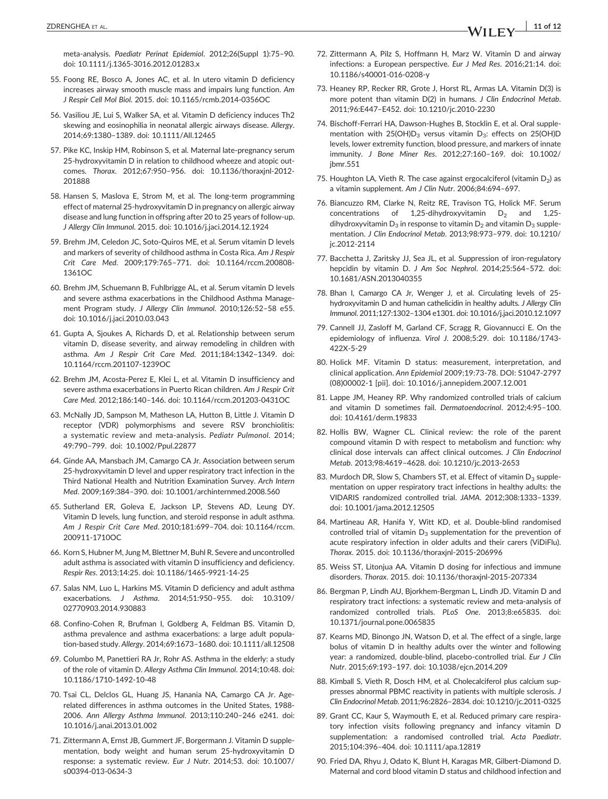meta‐analysis. Paediatr Perinat Epidemiol. 2012;26(Suppl 1):75–90. doi: [10.1111/j.1365-3016.2012.01283.x](http://dx.doi.org/10.1111/j.1365-3016.2012.01283.x)

- 55. Foong RE, Bosco A, Jones AC, et al. In utero vitamin D deficiency increases airway smooth muscle mass and impairs lung function. Am J Respir Cell Mol Biol. 2015. doi: [10.1165/rcmb.2014-0356OC](http://dx.doi.org/10.1165/rcmb.2014-0356OC)
- 56. Vasiliou JE, Lui S, Walker SA, et al. Vitamin D deficiency induces Th2 skewing and eosinophilia in neonatal allergic airways disease. Allergy. 2014;69:1380–1389. doi: [10.1111/All.12465](http://dx.doi.org/10.1111/All.12465)
- 57. Pike KC, Inskip HM, Robinson S, et al. Maternal late‐pregnancy serum 25‐hydroxyvitamin D in relation to childhood wheeze and atopic outcomes. Thorax. 2012;67:950–956. doi: [10.1136/thoraxjnl-2012-](http://dx.doi.org/10.1136/thoraxjnl-2012-201888) [201888](http://dx.doi.org/10.1136/thoraxjnl-2012-201888)
- 58. Hansen S, Maslova E, Strom M, et al. The long‐term programming effect of maternal 25‐hydroxyvitamin D in pregnancy on allergic airway disease and lung function in offspring after 20 to 25 years of follow‐up. J Allergy Clin Immunol. 2015. doi: [10.1016/j.jaci.2014.12.1924](http://dx.doi.org/10.1016/j.jaci.2014.12.1924)
- 59. Brehm JM, Celedon JC, Soto‐Quiros ME, et al. Serum vitamin D levels and markers of severity of childhood asthma in Costa Rica. Am J Respir Crit Care Med. 2009;179:765–771. doi: [10.1164/rccm.200808-](http://dx.doi.org/10.1164/rccm.200808-1361OC) [1361OC](http://dx.doi.org/10.1164/rccm.200808-1361OC)
- 60. Brehm JM, Schuemann B, Fuhlbrigge AL, et al. Serum vitamin D levels and severe asthma exacerbations in the Childhood Asthma Management Program study. J Allergy Clin Immunol. 2010;126:52–58 e55. doi: [10.1016/j.jaci.2010.03.043](http://dx.doi.org/10.1016/j.jaci.2010.03.043)
- 61. Gupta A, Sjoukes A, Richards D, et al. Relationship between serum vitamin D, disease severity, and airway remodeling in children with asthma. Am J Respir Crit Care Med. 2011;184:1342–1349. doi: [10.1164/rccm.201107-1239OC](http://dx.doi.org/10.1164/rccm.201107-1239OC)
- 62. Brehm JM, Acosta‐Perez E, Klei L, et al. Vitamin D insufficiency and severe asthma exacerbations in Puerto Rican children. Am J Respir Crit Care Med. 2012;186:140–146. doi: [10.1164/rccm.201203-0431OC](http://dx.doi.org/10.1164/rccm.201203-0431OC)
- 63. McNally JD, Sampson M, Matheson LA, Hutton B, Little J. Vitamin D receptor (VDR) polymorphisms and severe RSV bronchiolitis: a systematic review and meta‐analysis. Pediatr Pulmonol. 2014; 49:790–799. doi: [10.1002/Ppul.22877](http://dx.doi.org/10.1002/Ppul.22877)
- 64. Ginde AA, Mansbach JM, Camargo CA Jr. Association between serum 25-hydroxyvitamin D level and upper respiratory tract infection in the Third National Health and Nutrition Examination Survey. Arch Intern Med. 2009;169:384–390. doi: [10.1001/archinternmed.2008.560](http://dx.doi.org/10.1001/archinternmed.2008.560)
- 65. Sutherland ER, Goleva E, Jackson LP, Stevens AD, Leung DY. Vitamin D levels, lung function, and steroid response in adult asthma. Am J Respir Crit Care Med. 2010;181:699–704. doi: [10.1164/rccm.](http://dx.doi.org/10.1164/rccm.200911-1710OC) [200911-1710OC](http://dx.doi.org/10.1164/rccm.200911-1710OC)
- 66. Korn S, Hubner M, Jung M, Blettner M, Buhl R. Severe and uncontrolled adult asthma is associated with vitamin D insufficiency and deficiency. Respir Res. 2013;14:25. doi: [10.1186/1465-9921-14-25](http://dx.doi.org/10.1186/1465-9921-14-25)
- 67. Salas NM, Luo L, Harkins MS. Vitamin D deficiency and adult asthma exacerbations. J Asthma. 2014;51:950–955. doi: [10.3109/](http://dx.doi.org/10.3109/02770903.2014.930883) [02770903.2014.930883](http://dx.doi.org/10.3109/02770903.2014.930883)
- 68. Confino‐Cohen R, Brufman I, Goldberg A, Feldman BS. Vitamin D, asthma prevalence and asthma exacerbations: a large adult population‐based study. Allergy. 2014;69:1673–1680. doi: [10.1111/all.12508](http://dx.doi.org/10.1111/all.12508)
- 69. Columbo M, Panettieri RA Jr, Rohr AS. Asthma in the elderly: a study of the role of vitamin D. Allergy Asthma Clin Immunol. 2014;10:48. doi: [10.1186/1710-1492-10-48](http://dx.doi.org/10.1186/1710-1492-10-48)
- 70. Tsai CL, Delclos GL, Huang JS, Hanania NA, Camargo CA Jr. Age‐ related differences in asthma outcomes in the United States, 1988‐ 2006. Ann Allergy Asthma Immunol. 2013;110:240–246 e241. doi: [10.1016/j.anai.2013.01.002](http://dx.doi.org/10.1016/j.anai.2013.01.002)
- 71. Zittermann A, Ernst JB, Gummert JF, Borgermann J. Vitamin D supplementation, body weight and human serum 25‐hydroxyvitamin D response: a systematic review. Eur J Nutr. 2014;53. doi: [10.1007/](http://dx.doi.org/10.1007/s00394-013-0634-3) [s00394-013-0634-3](http://dx.doi.org/10.1007/s00394-013-0634-3)
- 72. Zittermann A, Pilz S, Hoffmann H, Marz W. Vitamin D and airway infections: a European perspective. Eur J Med Res. 2016;21:14. doi: [10.1186/s40001-016-0208-y](http://dx.doi.org/10.1186/s40001-016-0208-y)
- 73. Heaney RP, Recker RR, Grote J, Horst RL, Armas LA. Vitamin D(3) is more potent than vitamin D(2) in humans. J Clin Endocrinol Metab. 2011;96:E447–E452. doi: [10.1210/jc.2010-2230](http://dx.doi.org/10.1210/jc.2010-2230)
- 74. Bischoff‐Ferrari HA, Dawson‐Hughes B, Stocklin E, et al. Oral supplementation with  $25(OH)D_3$  versus vitamin  $D_3$ : effects on  $25(OH)D_3$ levels, lower extremity function, blood pressure, and markers of innate immunity. J Bone Miner Res. 2012;27:160–169. doi: [10.1002/](http://dx.doi.org/10.1002/jbmr.551) [jbmr.551](http://dx.doi.org/10.1002/jbmr.551)
- 75. Houghton LA, Vieth R. The case against ergocalciferol (vitamin  $D_2$ ) as a vitamin supplement. Am J Clin Nutr. 2006;84:694–697.
- 76. Biancuzzo RM, Clarke N, Reitz RE, Travison TG, Holick MF. Serum concentrations of 1,25-dihydroxyvitamin  $D_2$  and 1,25dihydroxyvitamin  $D_3$  in response to vitamin  $D_2$  and vitamin  $D_3$  supplementation. J Clin Endocrinol Metab. 2013;98:973–979. doi: [10.1210/](http://dx.doi.org/10.1210/jc.2012-2114) [jc.2012-2114](http://dx.doi.org/10.1210/jc.2012-2114)
- 77. Bacchetta J, Zaritsky JJ, Sea JL, et al. Suppression of iron‐regulatory hepcidin by vitamin D. J Am Soc Nephrol. 2014;25:564–572. doi: [10.1681/ASN.2013040355](http://dx.doi.org/10.1681/ASN.2013040355)
- 78. Bhan I, Camargo CA Jr, Wenger J, et al. Circulating levels of 25‐ hydroxyvitamin D and human cathelicidin in healthy adults. J Allergy Clin Immunol. 2011;127:1302–1304 e1301. doi: [10.1016/j.jaci.2010.12.1097](http://dx.doi.org/10.1016/j.jaci.2010.12.1097)
- 79. Cannell JJ, Zasloff M, Garland CF, Scragg R, Giovannucci E. On the epidemiology of influenza. Virol J. 2008;5:29. doi: [10.1186/1743-](http://dx.doi.org/10.1186/1743-422X-5-29) [422X-5-29](http://dx.doi.org/10.1186/1743-422X-5-29)
- 80. Holick MF. Vitamin D status: measurement, interpretation, and clinical application. Ann Epidemiol 2009;19:73‐78. DOI: S1047‐2797 (08)00002‐1 [pii]. doi: [10.1016/j.annepidem.2007.12.001](http://dx.doi.org/10.1016/j.annepidem.2007.12.001)
- 81. Lappe JM, Heaney RP, Why randomized controlled trials of calcium and vitamin D sometimes fail. Dermatoendocrinol. 2012;4:95–100. doi: [10.4161/derm.19833](http://dx.doi.org/10.4161/derm.19833)
- 82. Hollis BW, Wagner CL. Clinical review: the role of the parent compound vitamin D with respect to metabolism and function: why clinical dose intervals can affect clinical outcomes. J Clin Endocrinol Metab. 2013;98:4619–4628. doi: [10.1210/jc.2013-2653](http://dx.doi.org/10.1210/jc.2013-2653)
- 83. Murdoch DR, Slow S, Chambers ST, et al. Effect of vitamin  $D_3$  supplementation on upper respiratory tract infections in healthy adults: the VIDARIS randomized controlled trial. JAMA. 2012;308:1333–1339. doi: [10.1001/jama.2012.12505](http://dx.doi.org/10.1001/jama.2012.12505)
- 84. Martineau AR, Hanifa Y, Witt KD, et al. Double‐blind randomised controlled trial of vitamin  $D_3$  supplementation for the prevention of acute respiratory infection in older adults and their carers (ViDiFlu). Thorax. 2015. doi: [10.1136/thoraxjnl-2015-206996](http://dx.doi.org/10.1136/thoraxjnl-2015-206996)
- 85. Weiss ST, Litonjua AA. Vitamin D dosing for infectious and immune disorders. Thorax. 2015. doi: [10.1136/thoraxjnl-2015-207334](http://dx.doi.org/10.1136/thoraxjnl-2015-207334)
- 86. Bergman P, Lindh AU, Bjorkhem‐Bergman L, Lindh JD. Vitamin D and respiratory tract infections: a systematic review and meta‐analysis of randomized controlled trials. PLoS One. 2013;8:e65835. doi: [10.1371/journal.pone.0065835](http://dx.doi.org/10.1371/journal.pone.0065835)
- 87. Kearns MD, Binongo JN, Watson D, et al. The effect of a single, large bolus of vitamin D in healthy adults over the winter and following year: a randomized, double‐blind, placebo‐controlled trial. Eur J Clin Nutr. 2015;69:193–197. doi: [10.1038/ejcn.2014.209](http://dx.doi.org/10.1038/ejcn.2014.209)
- 88. Kimball S, Vieth R, Dosch HM, et al. Cholecalciferol plus calcium suppresses abnormal PBMC reactivity in patients with multiple sclerosis. J Clin Endocrinol Metab. 2011;96:2826–2834. doi: [10.1210/jc.2011-0325](http://dx.doi.org/10.1210/jc.2011-0325)
- 89. Grant CC, Kaur S, Waymouth E, et al. Reduced primary care respiratory infection visits following pregnancy and infancy vitamin D supplementation: a randomised controlled trial. Acta Paediatr. 2015;104:396–404. doi: [10.1111/apa.12819](http://dx.doi.org/10.1111/apa.12819)
- 90. Fried DA, Rhyu J, Odato K, Blunt H, Karagas MR, Gilbert‐Diamond D. Maternal and cord blood vitamin D status and childhood infection and